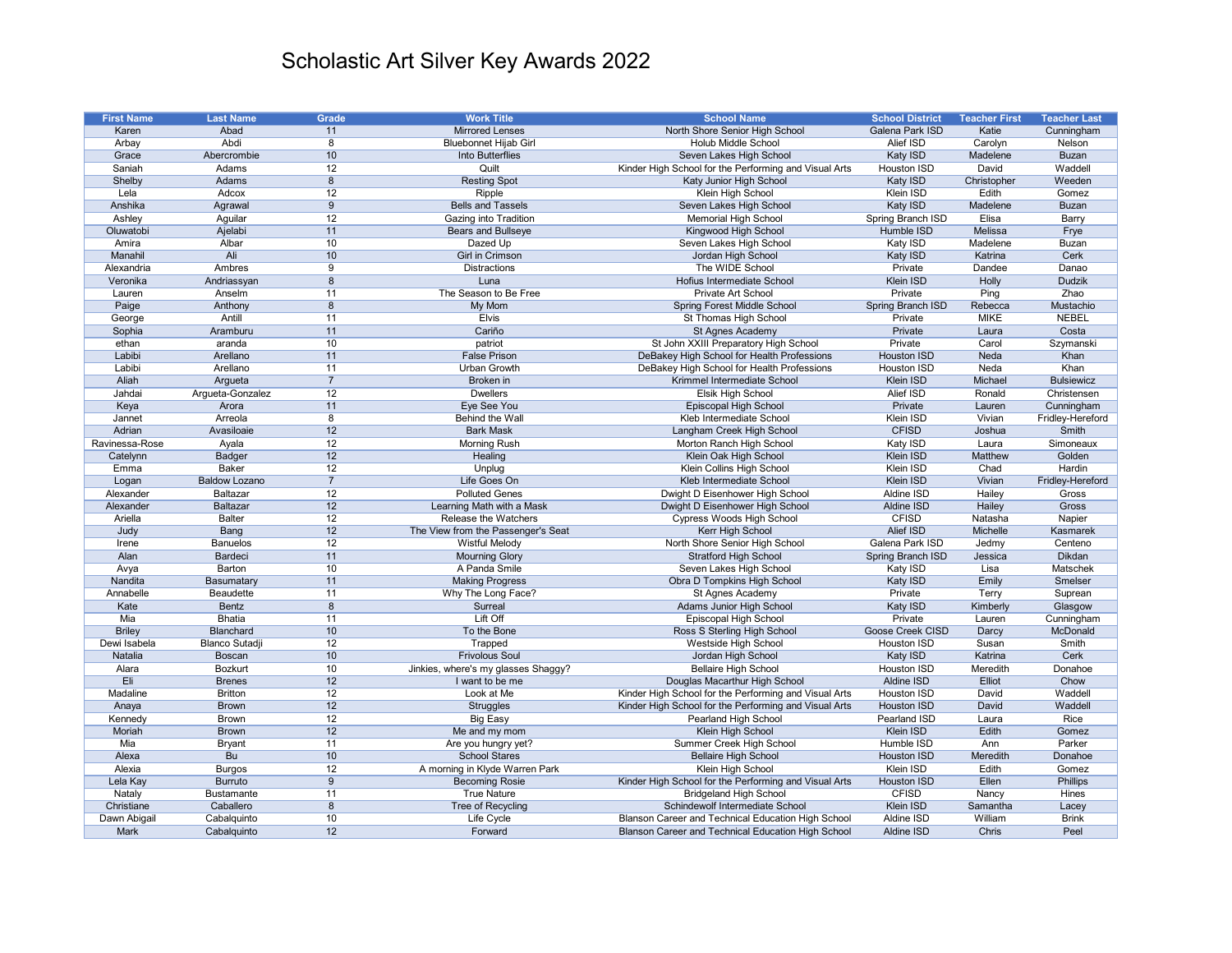| <b>First Name</b> | <b>Last Name</b>      | <b>Grade</b>   | <b>Work Title</b>                   | <b>School Name</b>                                    | <b>School District</b>   | <b>Teacher First</b> | <b>Teacher Last</b> |
|-------------------|-----------------------|----------------|-------------------------------------|-------------------------------------------------------|--------------------------|----------------------|---------------------|
| Karen             | Abad                  | 11             | <b>Mirrored Lenses</b>              | North Shore Senior High School                        | Galena Park ISD          | Katie                | Cunningham          |
| Arbay             | Abdi                  | 8              | <b>Bluebonnet Hijab Girl</b>        | Holub Middle School                                   | Alief ISD                | Carolyn              | Nelson              |
| Grace             | Abercrombie           | 10             | Into Butterflies                    | Seven Lakes High School                               | Katy ISD                 | Madelene             | <b>Buzan</b>        |
| Saniah            | Adams                 | 12             | Quilt                               | Kinder High School for the Performing and Visual Arts | Houston ISD              | David                | Waddell             |
| Shelby            | Adams                 | 8              | <b>Resting Spot</b>                 | Katy Junior High School                               | Katy ISD                 | Christopher          | Weeden              |
| Lela              | Adcox                 | 12             | Ripple                              | Klein High School                                     | Klein ISD                | Edith                | Gomez               |
| Anshika           | Agrawal               | 9              | <b>Bells and Tassels</b>            | Seven Lakes High School                               | Katy ISD                 | Madelene             | <b>Buzan</b>        |
|                   |                       | 12             |                                     | <b>Memorial High School</b>                           |                          | Elisa                |                     |
| Ashley            | Aguilar               |                | Gazing into Tradition               |                                                       | Spring Branch ISD        |                      | Barry               |
| Oluwatobi         | Ajelabi               | 11             | <b>Bears and Bullseye</b>           | Kingwood High School                                  | Humble ISD               | Melissa              | Frye                |
| Amira             | Albar                 | 10             | Dazed Up                            | Seven Lakes High School                               | Katy ISD                 | Madelene             | <b>Buzan</b>        |
| Manahil           | Ali                   | 10             | Girl in Crimson                     | Jordan High School                                    | Katy ISD                 | Katrina              | Cerk                |
| Alexandria        | Ambres                | 9              | <b>Distractions</b>                 | The WIDE School                                       | Private                  | Dandee               | Danao               |
| Veronika          | Andriassyan           | 8              | Luna                                | Hofius Intermediate School                            | Klein ISD                | Holly                | <b>Dudzik</b>       |
| Lauren            | Anselm                | 11             | The Season to Be Free               | Private Art School                                    | Private                  | Ping                 | Zhao                |
| Paige             | Anthony               | 8              | My Mom                              | <b>Spring Forest Middle School</b>                    | Spring Branch ISD        | Rebecca              | Mustachio           |
| George            | Antill                | 11             | <b>Elvis</b>                        | St Thomas High School                                 | Private                  | <b>MIKE</b>          | <b>NEBEL</b>        |
| Sophia            | Aramburu              | 11             | Cariño                              | St Agnes Academy                                      | Private                  | Laura                | Costa               |
| ethan             | aranda                | 10             | patriot                             | St John XXIII Preparatory High School                 | Private                  | Carol                | Szymanski           |
| Labibi            | Arellano              | 11             | <b>False Prison</b>                 | DeBakey High School for Health Professions            | <b>Houston ISD</b>       | Neda                 | Khan                |
| Labibi            | Arellano              | 11             | <b>Urban Growth</b>                 | DeBakey High School for Health Professions            | Houston ISD              | Neda                 | Khan                |
| Aliah             | Argueta               | $\overline{7}$ | Broken in                           | Krimmel Intermediate School                           | Klein ISD                | Michael              | <b>Bulsiewicz</b>   |
| Jahdai            | Argueta-Gonzalez      | 12             | <b>Dwellers</b>                     | Elsik High School                                     | <b>Alief ISD</b>         | Ronald               | Christensen         |
| Keya              | Arora                 | 11             | Eye See You                         | Episcopal High School                                 | Private                  | Lauren               | Cunningham          |
| Jannet            | Arreola               | 8              | Behind the Wall                     | Kleb Intermediate School                              | Klein ISD                | Vivian               | Fridley-Hereford    |
| Adrian            |                       |                |                                     |                                                       |                          |                      | <b>Smith</b>        |
|                   | Avasiloaie            | 12             | <b>Bark Mask</b>                    | Langham Creek High School                             | <b>CFISD</b>             | Joshua               |                     |
| Ravinessa-Rose    | Ayala                 | 12             | <b>Morning Rush</b>                 | Morton Ranch High School                              | Katy ISD                 | Laura                | Simoneaux           |
| Catelynn          | <b>Badger</b>         | 12             | Healing                             | Klein Oak High School                                 | Klein ISD                | Matthew              | Golden              |
| Emma              | Baker                 | 12             | Unplug                              | Klein Collins High School                             | Klein ISD                | Chad                 | <b>Hardin</b>       |
| Logan             | <b>Baldow Lozano</b>  | $\overline{7}$ | Life Goes On                        | Kleb Intermediate School                              | Klein ISD                | Vivian               | Fridley-Hereford    |
| Alexander         | <b>Baltazar</b>       | 12             | <b>Polluted Genes</b>               | Dwight D Eisenhower High School                       | Aldine ISD               | Hailey               | Gross               |
| Alexander         | <b>Baltazar</b>       | 12             | Learning Math with a Mask           | Dwight D Eisenhower High School                       | Aldine ISD               | Hailey               | Gross               |
| Ariella           | <b>Balter</b>         | 12             | <b>Release the Watchers</b>         | Cypress Woods High School                             | <b>CFISD</b>             | Natasha              | Napier              |
| Judy              | Bang                  | 12             | The View from the Passenger's Seat  | Kerr High School                                      | Alief ISD                | Michelle             | Kasmarek            |
| Irene             | <b>Banuelos</b>       | 12             | Wistful Melody                      | North Shore Senior High School                        | Galena Park ISD          | Jedmy                | Centeno             |
| Alan              | Bardeci               | 11             | <b>Mourning Glory</b>               | <b>Stratford High School</b>                          | <b>Spring Branch ISD</b> | Jessica              | Dikdan              |
| Avya              | Barton                | 10             | A Panda Smile                       | Seven Lakes High School                               | Katy ISD                 | Lisa                 | Matschek            |
| Nandita           | Basumatary            | 11             | <b>Making Progress</b>              | Obra D Tompkins High School                           | Katy ISD                 | Emily                | Smelser             |
| Annabelle         | Beaudette             | 11             | Why The Long Face?                  | St Agnes Academy                                      | Private                  | Terry                | Suprean             |
| Kate              | Bentz                 | 8              | Surreal                             | Adams Junior High School                              | Katy ISD                 | Kimberly             | Glasgow             |
| Mia               | <b>Bhatia</b>         | 11             | Lift Off                            | Episcopal High School                                 | Private                  | Lauren               | Cunningham          |
|                   | <b>Blanchard</b>      |                | To the Bone                         |                                                       | Goose Creek CISD         |                      | McDonald            |
| <b>Briley</b>     |                       | 10             |                                     | Ross S Sterling High School                           |                          | Darcy                |                     |
| Dewi Isabela      | <b>Blanco Sutadji</b> | 12             | Trapped                             | Westside High School                                  | Houston ISD              | Susan                | Smith               |
| Natalia           | <b>Boscan</b>         | 10             | <b>Frivolous Soul</b>               | Jordan High School                                    | Katy ISD                 | Katrina              | Cerk                |
| Alara             | <b>Bozkurt</b>        | 10             | Jinkies, where's my glasses Shaggy? | <b>Bellaire High School</b>                           | Houston ISD              | Meredith             | Donahoe             |
| Eli               | <b>Brenes</b>         | 12             | I want to be me                     | Douglas Macarthur High School                         | Aldine ISD               | Elliot               | Chow                |
| Madaline          | <b>Britton</b>        | 12             | Look at Me                          | Kinder High School for the Performing and Visual Arts | Houston ISD              | David                | Waddell             |
| Anaya             | <b>Brown</b>          | 12             | <b>Struggles</b>                    | Kinder High School for the Performing and Visual Arts | <b>Houston ISD</b>       | David                | Waddell             |
| Kennedy           | <b>Brown</b>          | 12             | <b>Big Easy</b>                     | Pearland High School                                  | Pearland ISD             | Laura                | Rice                |
| Moriah            | <b>Brown</b>          | 12             | Me and my mom                       | Klein High School                                     | Klein ISD                | Edith                | Gomez               |
| Mia               | <b>Bryant</b>         | 11             | Are you hungry yet?                 | Summer Creek High School                              | Humble ISD               | Ann                  | Parker              |
| Alexa             | <b>Bu</b>             | 10             | <b>School Stares</b>                | <b>Bellaire High School</b>                           | Houston ISD              | Meredith             | Donahoe             |
| Alexia            | <b>Burgos</b>         | 12             | A morning in Klyde Warren Park      | Klein High School                                     | Klein ISD                | Edith                | Gomez               |
| Lela Kay          | <b>Burruto</b>        | 9              | <b>Becoming Rosie</b>               | Kinder High School for the Performing and Visual Arts | <b>Houston ISD</b>       | Ellen                | <b>Phillips</b>     |
| Nataly            | <b>Bustamante</b>     | 11             | <b>True Nature</b>                  | <b>Bridgeland High School</b>                         | <b>CFISD</b>             | Nancy                | Hines               |
| Christiane        | Caballero             | 8              | Tree of Recycling                   | Schindewolf Intermediate School                       | Klein ISD                | Samantha             | Lacey               |
| Dawn Abigail      | Cabalquinto           | 10             | Life Cycle                          | Blanson Career and Technical Education High School    | Aldine ISD               | William              | <b>Brink</b>        |
| Mark              | Cabalquinto           | 12             | Forward                             | Blanson Career and Technical Education High School    | Aldine ISD               | Chris                | Peel                |
|                   |                       |                |                                     |                                                       |                          |                      |                     |

## Scholastic Art Silver Key Awards 2022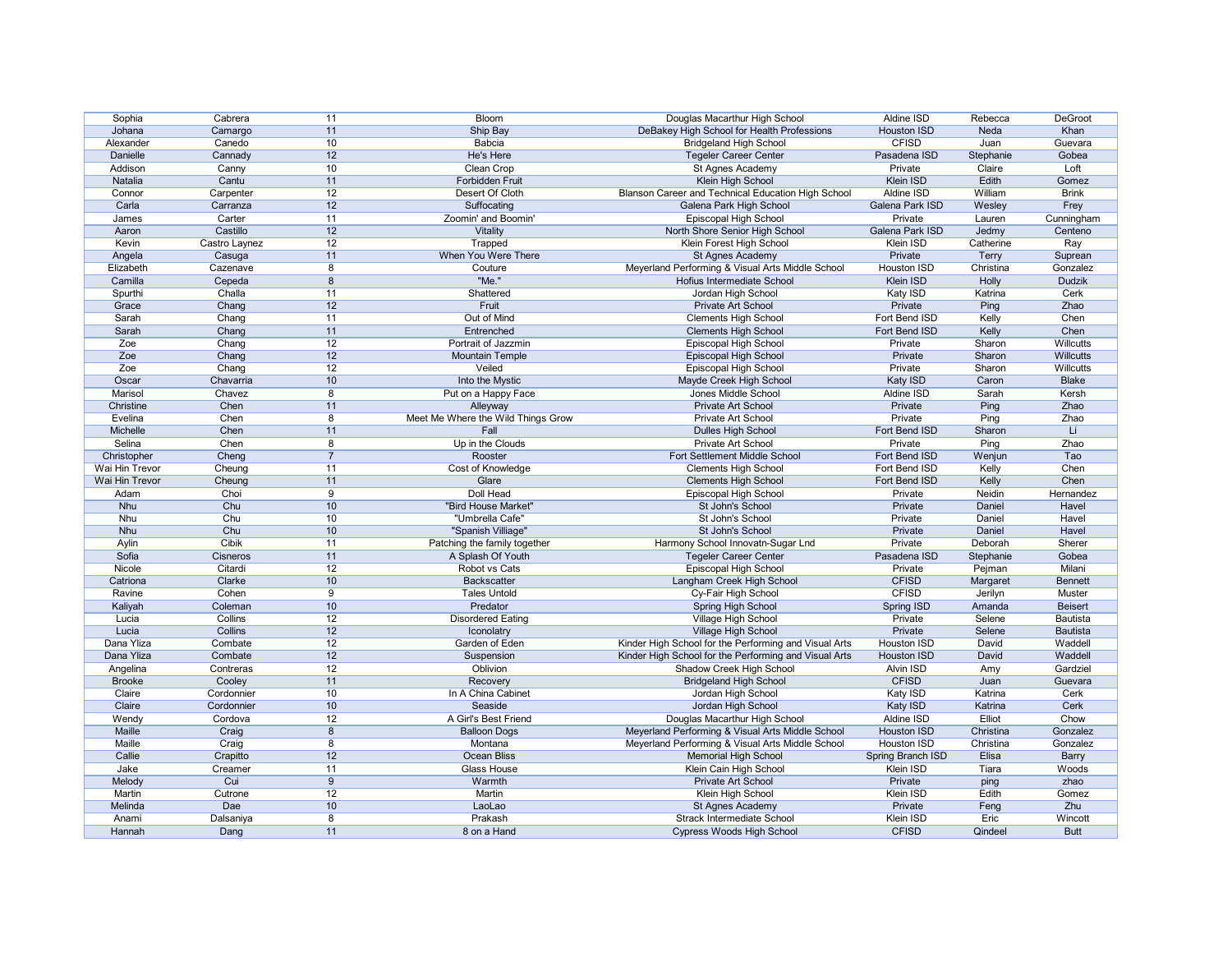| Sophia         | Cabrera       | 11             | Bloom                              | Douglas Macarthur High School                         | Aldine ISD         | Rebecca   | DeGroot        |
|----------------|---------------|----------------|------------------------------------|-------------------------------------------------------|--------------------|-----------|----------------|
| Johana         | Camargo       | 11             | Ship Bay                           | DeBakey High School for Health Professions            | <b>Houston ISD</b> | Neda      | Khan           |
| Alexander      | Canedo        | 10             | Babcia                             | <b>Bridgeland High School</b>                         | <b>CFISD</b>       | Juan      | Guevara        |
| Danielle       | Cannady       | 12             | He's Here                          | <b>Tegeler Career Center</b>                          | Pasadena ISD       | Stephanie | Gobea          |
| Addison        | Canny         | 10             | Clean Crop                         | St Agnes Academy                                      | Private            | Claire    | Loft           |
| Natalia        | Cantu         | 11             | Forbidden Fruit                    | Klein High School                                     | Klein ISD          | Edith     | Gomez          |
| Connor         | Carpenter     | 12             | Desert Of Cloth                    | Blanson Career and Technical Education High School    | Aldine ISD         | William   | <b>Brink</b>   |
| Carla          | Carranza      | 12             | Suffocating                        | Galena Park High School                               | Galena Park ISD    | Wesley    | Frey           |
| James          | Carter        | 11             | Zoomin' and Boomin'                | Episcopal High School                                 | Private            | Lauren    | Cunningham     |
| Aaron          | Castillo      | 12             | Vitality                           | North Shore Senior High School                        | Galena Park ISD    | Jedmy     | Centeno        |
| Kevin          | Castro Laynez | 12             | Trapped                            | Klein Forest High School                              | Klein ISD          | Catherine | Ray            |
| Angela         | Casuga        | 11             | When You Were There                | St Agnes Academy                                      | Private            | Terry     | Suprean        |
| Elizabeth      | Cazenave      | 8              | Couture                            | Meyerland Performing & Visual Arts Middle School      | Houston ISD        | Christina | Gonzalez       |
| Camilla        | Cepeda        | 8              | "Me."                              | Hofius Intermediate School                            | Klein ISD          | Holly     | <b>Dudzik</b>  |
| Spurthi        | Challa        | 11             | Shattered                          | Jordan High School                                    | Katy ISD           | Katrina   | Cerk           |
|                | Chang         | 12             | Fruit                              | Private Art School                                    | Private            | Ping      | Zhao           |
| Grace          |               |                |                                    |                                                       | Fort Bend ISD      |           |                |
| Sarah          | Chang         | 11             | Out of Mind                        | <b>Clements High School</b>                           |                    | Kelly     | Chen           |
| Sarah          | Chang         | 11             | Entrenched                         | <b>Clements High School</b>                           | Fort Bend ISD      | Kelly     | Chen           |
| Zoe            | Chang         | 12             | Portrait of Jazzmin                | Episcopal High School                                 | Private            | Sharon    | Willcutts      |
| Zoe            | Chang         | 12             | <b>Mountain Temple</b>             | Episcopal High School                                 | Private            | Sharon    | Willcutts      |
| Zoe            | Chang         | 12             | Veiled                             | Episcopal High School                                 | Private            | Sharon    | Willcutts      |
| Oscar          | Chavarria     | 10             | Into the Mystic                    | Mayde Creek High School                               | Katy ISD           | Caron     | <b>Blake</b>   |
| Marisol        | Chavez        | 8              | Put on a Happy Face                | Jones Middle School                                   | <b>Aldine ISD</b>  | Sarah     | Kersh          |
| Christine      | Chen          | 11             | Alleyway                           | Private Art School                                    | Private            | Ping      | Zhao           |
| Evelina        | Chen          | 8              | Meet Me Where the Wild Things Grow | Private Art School                                    | Private            | Ping      | Zhao           |
| Michelle       | Chen          | 11             | Fall                               | Dulles High School                                    | Fort Bend ISD      | Sharon    | Li             |
| Selina         | Chen          | 8              | Up in the Clouds                   | Private Art School                                    | Private            | Ping      | Zhao           |
| Christopher    | Cheng         | $\overline{7}$ | Rooster                            | Fort Settlement Middle School                         | Fort Bend ISD      | Wenjun    | Tao            |
| Wai Hin Trevor | Cheung        | 11             | Cost of Knowledge                  | <b>Clements High School</b>                           | Fort Bend ISD      | Kelly     | Chen           |
| Wai Hin Trevor | Cheung        | 11             | Glare                              | <b>Clements High School</b>                           | Fort Bend ISD      | Kelly     | Chen           |
| Adam           | Choi          | 9              | <b>Doll Head</b>                   | Episcopal High School                                 | Private            | Neidin    | Hernandez      |
| Nhu            | Chu           | 10             | "Bird House Market"                | St John's School                                      | Private            | Daniel    | Havel          |
| <b>Nhu</b>     | Chu           | 10             | "Umbrella Cafe"                    | St John's School                                      | Private            | Daniel    | Havel          |
| Nhu            | Chu           | 10             | "Spanish Villiage"                 | St John's School                                      | Private            | Daniel    | Havel          |
| Aylin          | <b>Cibik</b>  | 11             | Patching the family together       | Harmony School Innovatn-Sugar Lnd                     | Private            | Deborah   | Sherer         |
| Sofia          | Cisneros      | 11             | A Splash Of Youth                  | <b>Tegeler Career Center</b>                          | Pasadena ISD       | Stephanie | Gobea          |
| Nicole         | Citardi       | 12             | Robot vs Cats                      | Episcopal High School                                 | Private            | Pejman    | Milani         |
| Catriona       | Clarke        | 10             | <b>Backscatter</b>                 | Langham Creek High School                             | <b>CFISD</b>       | Margaret  | <b>Bennett</b> |
| Ravine         | Cohen         | 9              | <b>Tales Untold</b>                | Cy-Fair High School                                   | <b>CFISD</b>       | Jerilyn   | Muster         |
| Kaliyah        | Coleman       | 10             | Predator                           | Spring High School                                    | Spring ISD         | Amanda    | <b>Beisert</b> |
| Lucia          | Collins       | 12             | <b>Disordered Eating</b>           | Village High School                                   | Private            | Selene    | Bautista       |
| Lucia          | Collins       | 12             | Iconolatry                         | Village High School                                   | Private            | Selene    | Bautista       |
| Dana Yliza     |               | 12             | Garden of Eden                     | Kinder High School for the Performing and Visual Arts | <b>Houston ISD</b> | David     | Waddell        |
| Dana Yliza     | Combate       |                |                                    |                                                       | <b>Houston ISD</b> |           | Waddell        |
|                | Combate       | 12             | Suspension                         | Kinder High School for the Performing and Visual Arts |                    | David     |                |
| Angelina       | Contreras     | 12             | Oblivion                           | Shadow Creek High School                              | <b>Alvin ISD</b>   | Amy       | Gardziel       |
| <b>Brooke</b>  | Cooley        | 11             | Recovery                           | <b>Bridgeland High School</b>                         | <b>CFISD</b>       | Juan      | Guevara        |
| Claire         | Cordonnier    | 10             | In A China Cabinet                 | Jordan High School                                    | Katy ISD           | Katrina   | Cerk           |
| Claire         | Cordonnier    | 10             | Seaside                            | Jordan High School                                    | Katy ISD           | Katrina   | Cerk           |
| Wendy          | Cordova       | 12             | A Girl's Best Friend               | Douglas Macarthur High School                         | Aldine ISD         | Elliot    | Chow           |
| Maille         |               |                | <b>Balloon Dogs</b>                | Meyerland Performing & Visual Arts Middle School      | <b>Houston ISD</b> | Christina | Gonzalez       |
|                | Craig         | 8              |                                    |                                                       |                    |           |                |
| Maille         | Craig         | 8              | Montana                            | Meyerland Performing & Visual Arts Middle School      | <b>Houston ISD</b> | Christina | Gonzalez       |
| Callie         | Crapitto      | 12             | Ocean Bliss                        | <b>Memorial High School</b>                           | Spring Branch ISD  | Elisa     | <b>Barry</b>   |
| Jake           | Creamer       | 11             | Glass House                        | Klein Cain High School                                | Klein ISD          | Tiara     | Woods          |
| Melody         | Cui           | 9              | Warmth                             | Private Art School                                    | Private            | ping      | zhao           |
| Martin         | Cutrone       | 12             | Martin                             | Klein High School                                     | Klein ISD          | Edith     | Gomez          |
| Melinda        | Dae           | 10             | LaoLao                             | St Agnes Academy                                      | Private            | Feng      | Zhu            |
| Anami          | Dalsaniya     | 8              | Prakash                            | Strack Intermediate School                            | Klein ISD          | Eric      | Wincott        |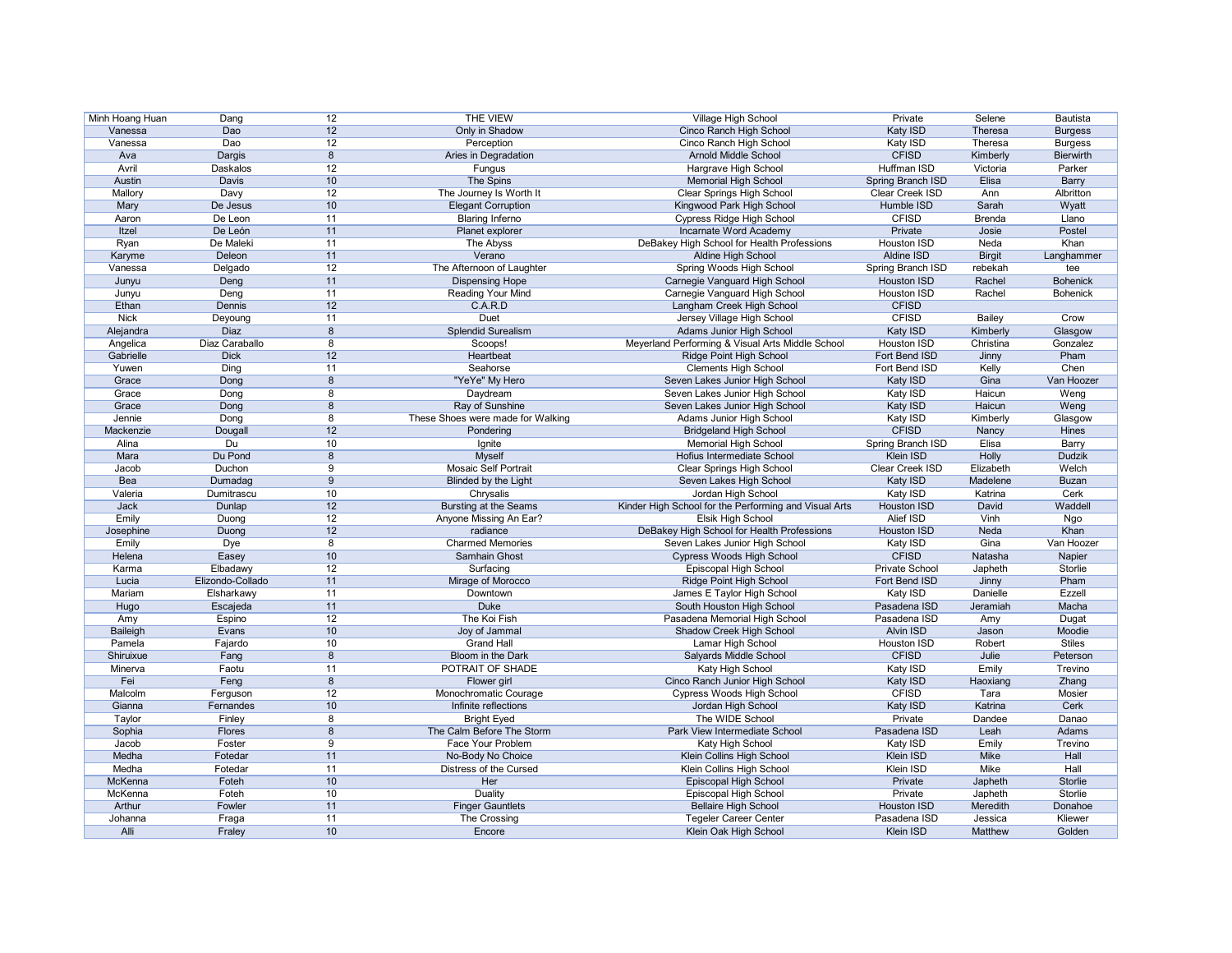| Minh Hoang Huan | Dang             | 12              | <b>THE VIEW</b>                   | <b>Village High School</b>                            | Private            | Selene        | <b>Bautista</b>  |
|-----------------|------------------|-----------------|-----------------------------------|-------------------------------------------------------|--------------------|---------------|------------------|
| Vanessa         | Dao              | 12              | Only in Shadow                    | Cinco Ranch High School                               | Katy ISD           | Theresa       | <b>Burgess</b>   |
| Vanessa         | Dao              | 12              | Perception                        | Cinco Ranch High School                               | Katy ISD           | Theresa       | <b>Burgess</b>   |
| Ava             | Dargis           | 8               | Aries in Degradation              | <b>Arnold Middle School</b>                           | <b>CFISD</b>       | Kimberly      | <b>Bierwirth</b> |
| Avril           | Daskalos         | 12              | Fungus                            | Hargrave High School                                  | <b>Huffman ISD</b> | Victoria      | Parker           |
| Austin          | Davis            | 10              | The Spins                         | <b>Memorial High School</b>                           | Spring Branch ISD  | Elisa         | <b>Barry</b>     |
| Mallory         | Davy             | 12              | The Journey Is Worth It           | <b>Clear Springs High School</b>                      | Clear Creek ISD    | Ann           | Albritton        |
| Mary            | De Jesus         | 10              | <b>Elegant Corruption</b>         | Kingwood Park High School                             | Humble ISD         | Sarah         | Wyatt            |
| Aaron           | De Leon          | 11              | <b>Blaring Inferno</b>            |                                                       | <b>CFISD</b>       | <b>Brenda</b> | Llano            |
|                 |                  | 11              |                                   | Cypress Ridge High School                             |                    |               |                  |
| Itzel           | De León          |                 | Planet explorer                   | Incarnate Word Academy                                | Private            | Josie         | Postel           |
| Ryan            | De Maleki        | 11              | The Abyss                         | DeBakey High School for Health Professions            | Houston ISD        | Neda          | Khan             |
| Karyme          | Deleon           | 11              | Verano                            | Aldine High School                                    | Aldine ISD         | <b>Birgit</b> | Langhammer       |
| Vanessa         | Delgado          | 12              | The Afternoon of Laughter         | Spring Woods High School                              | Spring Branch ISD  | rebekah       | tee              |
| Junyu           | Deng             | 11              | <b>Dispensing Hope</b>            | Carnegie Vanguard High School                         | <b>Houston ISD</b> | Rachel        | <b>Bohenick</b>  |
| Junyu           | Deng             | 11              | <b>Reading Your Mind</b>          | Carnegie Vanguard High School                         | Houston ISD        | Rachel        | <b>Bohenick</b>  |
| Ethan           | Dennis           | 12              | C.A.R.D                           | Langham Creek High School                             | <b>CFISD</b>       |               |                  |
| <b>Nick</b>     | Deyoung          | 11              | <b>Duet</b>                       | Jersey Village High School                            | <b>CFISD</b>       | <b>Bailey</b> | Crow             |
| Alejandra       | Diaz             | 8               | <b>Splendid Surealism</b>         | Adams Junior High School                              | Katy ISD           | Kimberly      | Glasgow          |
| Angelica        | Diaz Caraballo   | 8               | Scoops!                           | Meyerland Performing & Visual Arts Middle School      | <b>Houston ISD</b> | Christina     | Gonzalez         |
| Gabrielle       | <b>Dick</b>      | 12              | Heartbeat                         | Ridge Point High School                               | Fort Bend ISD      | Jinny         | Pham             |
| Yuwen           | Ding             | 11              | Seahorse                          | <b>Clements High School</b>                           | Fort Bend ISD      | Kelly         | Chen             |
| Grace           | Dong             | 8               | "YeYe" My Hero                    | Seven Lakes Junior High School                        | Katy ISD           | Gina          | Van Hoozer       |
| Grace           | Dong             | 8               | Daydream                          | Seven Lakes Junior High School                        | Katy ISD           | Haicun        | Weng             |
| Grace           | Dong             | 8               | Ray of Sunshine                   | Seven Lakes Junior High School                        | Katy ISD           | Haicun        | Weng             |
| Jennie          | Dong             | 8               | These Shoes were made for Walking | Adams Junior High School                              | Katy ISD           | Kimberly      | Glasgow          |
| Mackenzie       |                  | 12              |                                   |                                                       | <b>CFISD</b>       |               | Hines            |
|                 | Dougall          |                 | Pondering                         | <b>Bridgeland High School</b>                         |                    | Nancy         |                  |
| Alina           | Du               | 10              | Ignite                            | <b>Memorial High School</b>                           | Spring Branch ISD  | Elisa         | Barry            |
| Mara            | Du Pond          | 8               | <b>Myself</b>                     | Hofius Intermediate School                            | Klein ISD          | Holly         | <b>Dudzik</b>    |
| Jacob           | Duchon           | 9               | <b>Mosaic Self Portrait</b>       | <b>Clear Springs High School</b>                      | Clear Creek ISD    | Elizabeth     | Welch            |
| Bea             | Dumadag          | 9               | <b>Blinded by the Light</b>       | Seven Lakes High School                               | Katy ISD           | Madelene      | <b>Buzan</b>     |
| Valeria         | Dumitrascu       | 10              | Chrysalis                         | Jordan High School                                    | Katy ISD           | Katrina       | Cerk             |
| Jack            | Dunlap           | 12              | <b>Bursting at the Seams</b>      | Kinder High School for the Performing and Visual Arts | <b>Houston ISD</b> | David         | Waddell          |
| Emily           | Duong            | 12              | Anyone Missing An Ear?            | Elsik High School                                     | Alief ISD          | Vinh          | Ngo              |
| Josephine       | Duong            | 12              | radiance                          | DeBakey High School for Health Professions            | <b>Houston ISD</b> | Neda          | Khan             |
| Emily           | Dye              | $\overline{8}$  | <b>Charmed Memories</b>           | Seven Lakes Junior High School                        | Katy ISD           | Gina          | Van Hoozer       |
| Helena          |                  |                 |                                   |                                                       |                    | Natasha       | Napier           |
|                 |                  | 10              | Samhain Ghost                     |                                                       | <b>CFISD</b>       |               |                  |
|                 | Easey            |                 |                                   | Cypress Woods High School                             |                    |               |                  |
| Karma           | Elbadawy         | 12              | Surfacing                         | Episcopal High School                                 | Private School     | Japheth       | Storlie          |
| Lucia           | Elizondo-Collado | 11              | Mirage of Morocco                 | Ridge Point High School                               | Fort Bend ISD      | Jinny         | Pham             |
| Mariam          | Elsharkawy       | 11              | Downtown                          | James E Taylor High School                            | Katy ISD           | Danielle      | Ezzell           |
| Hugo            | Escajeda         | 11              | Duke                              | South Houston High School                             | Pasadena ISD       | Jeramiah      | Macha            |
| Amy             | Espino           | 12              | The Koi Fish                      | Pasadena Memorial High School                         | Pasadena ISD       | Amy           | Dugat            |
| Baileigh        | Evans            | 10              | Joy of Jammal                     | Shadow Creek High School                              | Alvin ISD          | Jason         | Moodie           |
| Pamela          | Fajardo          | 10              | <b>Grand Hall</b>                 | Lamar High School                                     | Houston ISD        | Robert        | <b>Stiles</b>    |
| Shiruixue       | Fang             | 8               | Bloom in the Dark                 | Salyards Middle School                                | <b>CFISD</b>       | Julie         | Peterson         |
| Minerva         | Faotu            | 11              | POTRAIT OF SHADE                  | Katy High School                                      | Katy ISD           | Emily         | Trevino          |
| Fei             | Feng             | 8               | Flower girl                       | Cinco Ranch Junior High School                        | Katy ISD           | Haoxiang      | Zhang            |
| Malcolm         | Ferguson         | 12              | Monochromatic Courage             | <b>Cypress Woods High School</b>                      | <b>CFISD</b>       | Tara          | Mosier           |
| Gianna          | Fernandes        | 10              | Infinite reflections              | Jordan High School                                    | Katy ISD           | Katrina       | Cerk             |
| Taylor          | Finley           | 8               | <b>Bright Eyed</b>                | The WIDE School                                       | Private            | Dandee        | Danao            |
| Sophia          | Flores           | 8               | The Calm Before The Storm         | Park View Intermediate School                         | Pasadena ISD       | Leah          | Adams            |
| Jacob           | Foster           | 9               | Face Your Problem                 | Katy High School                                      | Katy ISD           | Emily         | Trevino          |
| Medha           | Fotedar          | 11              | No-Body No Choice                 | Klein Collins High School                             | Klein ISD          | Mike          | Hall             |
| Medha           | Fotedar          | 11              | Distress of the Cursed            | Klein Collins High School                             | Klein ISD          | Mike          | Hall             |
| McKenna         | Foteh            | 10              | Her                               | Episcopal High School                                 | Private            | Japheth       | Storlie          |
| McKenna         | Foteh            | 10 <sup>°</sup> | <b>Duality</b>                    | Episcopal High School                                 | Private            | Japheth       | Storlie          |
| Arthur          | Fowler           | 11              | <b>Finger Gauntlets</b>           | <b>Bellaire High School</b>                           | <b>Houston ISD</b> | Meredith      | Donahoe          |
| Johanna         | Fraga            | 11              | The Crossing                      | <b>Tegeler Career Center</b>                          | Pasadena ISD       | Jessica       | Kliewer          |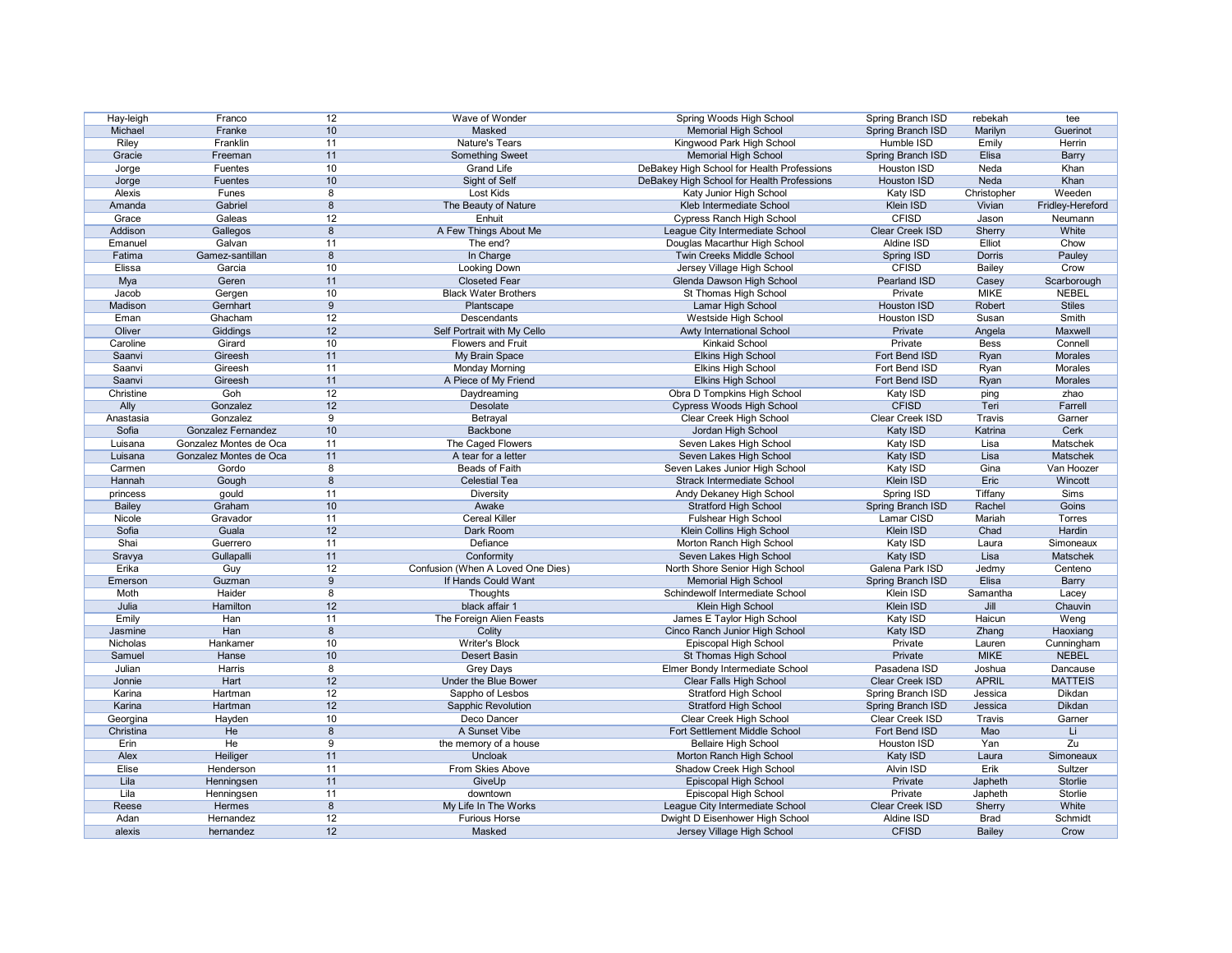| Hay-leigh     | Franco                 | 12              | Wave of Wonder                    | Spring Woods High School                   | Spring Branch ISD        | rebekah       | tee              |
|---------------|------------------------|-----------------|-----------------------------------|--------------------------------------------|--------------------------|---------------|------------------|
| Michael       | Franke                 | 10 <sup>°</sup> | <b>Masked</b>                     | <b>Memorial High School</b>                | Spring Branch ISD        | Marilyn       | Guerinot         |
| Riley         | Franklin               | 11              | <b>Nature's Tears</b>             | Kingwood Park High School                  | Humble ISD               | Emily         | Herrin           |
| Gracie        | Freeman                | 11              | <b>Something Sweet</b>            | <b>Memorial High School</b>                | Spring Branch ISD        | Elisa         | <b>Barry</b>     |
| Jorge         | Fuentes                | 10 <sup>°</sup> | <b>Grand Life</b>                 | DeBakey High School for Health Professions | <b>Houston ISD</b>       | Neda          | Khan             |
| Jorge         | Fuentes                | 10 <sup>°</sup> | Sight of Self                     | DeBakey High School for Health Professions | Houston ISD              | Neda          | Khan             |
| Alexis        | Funes                  | 8               | <b>Lost Kids</b>                  | Katy Junior High School                    | Katy ISD                 | Christopher   | Weeden           |
| Amanda        | Gabriel                | 8               | The Beauty of Nature              | Kleb Intermediate School                   | Klein ISD                | Vivian        | Fridley-Hereford |
| Grace         | Galeas                 | 12              | Enhuit                            | <b>Cypress Ranch High School</b>           | <b>CFISD</b>             | Jason         | Neumann          |
| Addison       | Gallegos               | 8               | A Few Things About Me             | League City Intermediate School            | Clear Creek ISD          | Sherry        | White            |
|               | Galvan                 | 11              |                                   |                                            | Aldine ISD               | Elliot        | Chow             |
| Emanuel       |                        |                 | The end?                          | Douglas Macarthur High School              |                          |               |                  |
| Fatima        | Gamez-santillan        | 8               | In Charge                         | Twin Creeks Middle School                  | Spring ISD               | <b>Dorris</b> | Pauley           |
| Elissa        | Garcia                 | 10              | Looking Down                      | Jersey Village High School                 | <b>CFISD</b>             | <b>Bailey</b> | Crow             |
| Mya           | Geren                  | 11              | <b>Closeted Fear</b>              | Glenda Dawson High School                  | Pearland ISD             | Casey         | Scarborough      |
| Jacob         | Gergen                 | 10              | <b>Black Water Brothers</b>       | St Thomas High School                      | Private                  | <b>MIKE</b>   | <b>NEBEL</b>     |
| Madison       | Gernhart               | 9               | Plantscape                        | Lamar High School                          | Houston ISD              | Robert        | <b>Stiles</b>    |
| Eman          | Ghacham                | 12              | <b>Descendants</b>                | Westside High School                       | Houston ISD              | Susan         | <b>Smith</b>     |
| Oliver        | Giddings               | 12              | Self Portrait with My Cello       | Awty International School                  | Private                  | Angela        | Maxwell          |
| Caroline      | Girard                 | 10              | <b>Flowers and Fruit</b>          | <b>Kinkaid School</b>                      | Private                  | <b>Bess</b>   | Connell          |
| Saanvi        | Gireesh                | 11              | My Brain Space                    | <b>Elkins High School</b>                  | Fort Bend ISD            | Ryan          | Morales          |
| Saanvi        | Gireesh                | 11              | <b>Monday Morning</b>             | <b>Elkins High School</b>                  | Fort Bend ISD            | Ryan          | Morales          |
| Saanvi        | Gireesh                | 11              | A Piece of My Friend              | <b>Elkins High School</b>                  | Fort Bend ISD            | Ryan          | Morales          |
| Christine     | Goh                    | 12              | Daydreaming                       | Obra D Tompkins High School                | Katy ISD                 | ping          | zhao             |
| Ally          | Gonzalez               | 12              | Desolate                          | Cypress Woods High School                  | <b>CFISD</b>             | Teri          | Farrell          |
| Anastasia     | Gonzalez               | 9               | Betrayal                          | Clear Creek High School                    | <b>Clear Creek ISD</b>   | <b>Travis</b> | Garner           |
| Sofia         | Gonzalez Fernandez     | 10              | Backbone                          | Jordan High School                         | Katy ISD                 | Katrina       | Cerk             |
| Luisana       | Gonzalez Montes de Oca | 11              | The Caged Flowers                 | Seven Lakes High School                    | Katy ISD                 | Lisa          | Matschek         |
| Luisana       | Gonzalez Montes de Oca | 11              | A tear for a letter               | Seven Lakes High School                    |                          | Lisa          | <b>Matschek</b>  |
| Carmen        |                        | 8               | Beads of Faith                    |                                            | Katy ISD                 | Gina          | Van Hoozer       |
|               | Gordo                  |                 |                                   | Seven Lakes Junior High School             | Katy ISD                 |               |                  |
| Hannah        | Gough                  | 8               | <b>Celestial Tea</b>              | <b>Strack Intermediate School</b>          | Klein ISD                | Eric          | Wincott          |
| princess      | gould                  | 11              | <b>Diversity</b>                  | Andy Dekaney High School                   | Spring ISD               | Tiffany       | Sims             |
| <b>Bailey</b> | Graham                 | 10              | Awake                             | <b>Stratford High School</b>               | Spring Branch ISD        | Rachel        | Goins            |
| Nicole        | Gravador               | 11              | <b>Cereal Killer</b>              | Fulshear High School                       | Lamar CISD               | Mariah        | <b>Torres</b>    |
| Sofia         | Guala                  | 12              | Dark Room                         | Klein Collins High School                  | Klein ISD                | Chad          | Hardin           |
| Shai          | Guerrero               | 11              | Defiance                          | Morton Ranch High School                   | Katy ISD                 | Laura         | Simoneaux        |
| Sravya        | Gullapalli             | 11              | Conformity                        | Seven Lakes High School                    | Katy ISD                 | Lisa          | Matschek         |
| Erika         | Guy                    | 12              | Confusion (When A Loved One Dies) | North Shore Senior High School             | Galena Park ISD          | Jedmy         | Centeno          |
| Emerson       | Guzman                 | 9               | If Hands Could Want               | <b>Memorial High School</b>                | Spring Branch ISD        | Elisa         | <b>Barry</b>     |
| Moth          | Haider                 | 8               | Thoughts                          | Schindewolf Intermediate School            | Klein ISD                | Samantha      | Lacey            |
| Julia         | Hamilton               | 12              | black affair 1                    | Klein High School                          | Klein ISD                | Jill          | Chauvin          |
| Emily         | Han                    | 11              | The Foreign Alien Feasts          | James E Taylor High School                 | Katy ISD                 | Haicun        | Weng             |
| Jasmine       | Han                    | 8               | Colity                            | Cinco Ranch Junior High School             | Katy ISD                 | Zhang         | Haoxiang         |
| Nicholas      | Hankamer               | 10              | <b>Writer's Block</b>             | Episcopal High School                      | Private                  | Lauren        | Cunningham       |
| Samuel        | Hanse                  | 10              | Desert Basin                      | St Thomas High School                      | Private                  | <b>MIKE</b>   | <b>NEBEL</b>     |
| Julian        | Harris                 | 8               | <b>Grey Days</b>                  | Elmer Bondy Intermediate School            | Pasadena ISD             | Joshua        | Dancause         |
| Jonnie        | Hart                   | 12              | Under the Blue Bower              | <b>Clear Falls High School</b>             | Clear Creek ISD          | <b>APRIL</b>  | <b>MATTEIS</b>   |
| Karina        | Hartman                | 12              | Sappho of Lesbos                  | <b>Stratford High School</b>               | Spring Branch ISD        | Jessica       | Dikdan           |
| Karina        | Hartman                | 12              | Sapphic Revolution                | <b>Stratford High School</b>               | <b>Spring Branch ISD</b> | Jessica       | Dikdan           |
| Georgina      | Hayden                 | 10              | Deco Dancer                       | Clear Creek High School                    | Clear Creek ISD          | Travis        | Garner           |
| Christina     | He                     | 8               | A Sunset Vibe                     | Fort Settlement Middle School              | Fort Bend ISD            | Mao           | Li               |
| Erin          | He                     | 9               |                                   | <b>Bellaire High School</b>                | Houston ISD              | Yan           | Zu               |
|               |                        |                 | the memory of a house             |                                            |                          |               |                  |
| Alex          | Heiliger               | 11              | Uncloak                           | Morton Ranch High School                   | Katy ISD                 | Laura         | Simoneaux        |
| Elise         | Henderson              | 11              | From Skies Above                  | Shadow Creek High School                   | Alvin ISD                | Erik          | Sultzer          |
| Lila          | Henningsen             | 11              | GiveUp                            | Episcopal High School                      | Private                  | Japheth       | Storlie          |
| Lila          | Henningsen             | 11              | downtown                          | Episcopal High School                      | Private                  | Japheth       | Storlie          |
| Reese         | Hermes                 | 8               | My Life In The Works              | League City Intermediate School            | Clear Creek ISD          | Sherry        | White            |
| Adan          | Hernandez              | 12              | <b>Furious Horse</b>              | Dwight D Eisenhower High School            | Aldine ISD               | <b>Brad</b>   | Schmidt          |
| alexis        | hernandez              | 12              | Masked                            | Jersey Village High School                 | <b>CFISD</b>             | <b>Bailey</b> | Crow             |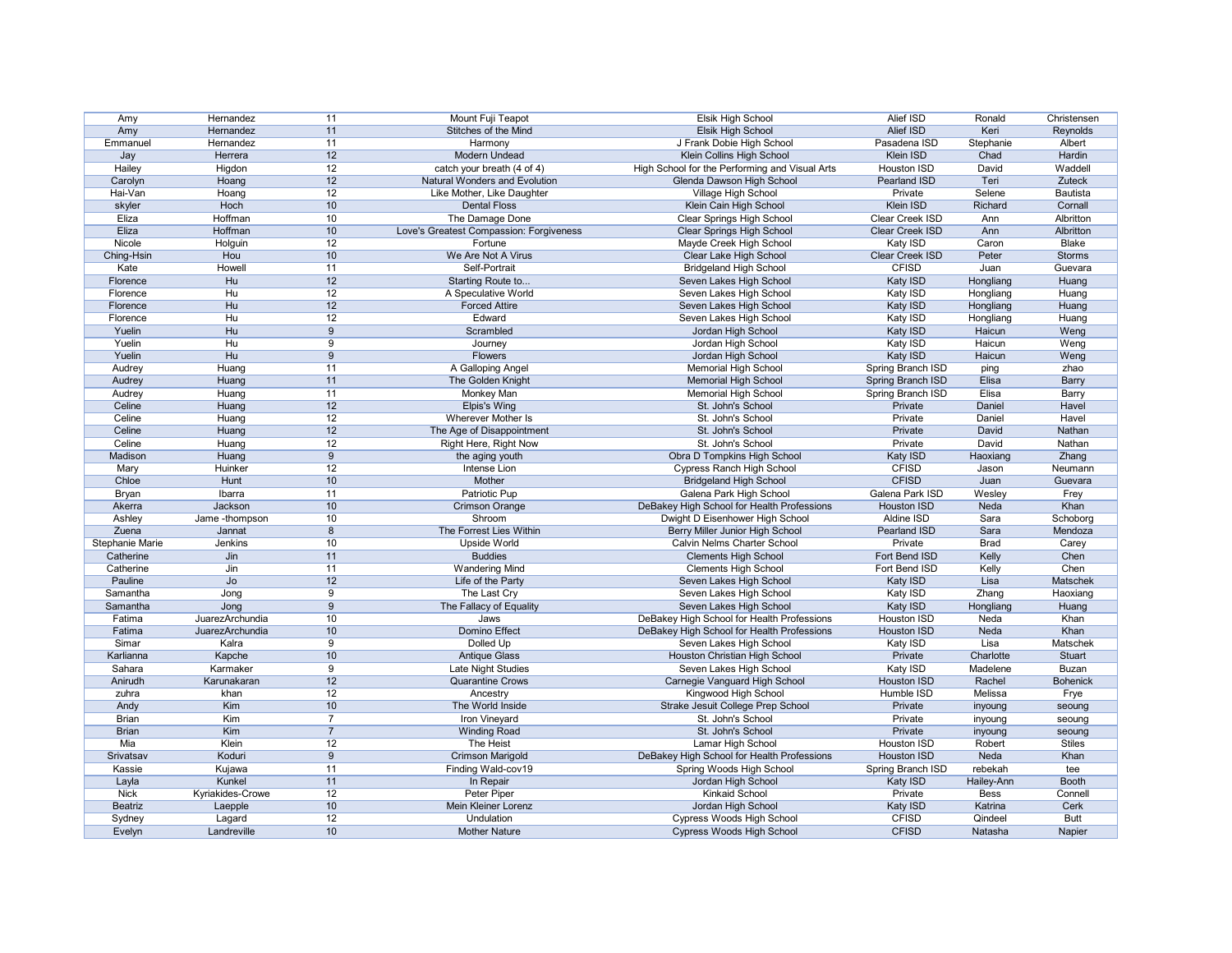| Amy             | Hernandez        | 11              | Mount Fuji Teapot                       | Elsik High School                              | Alief ISD              | Ronald      | Christensen     |
|-----------------|------------------|-----------------|-----------------------------------------|------------------------------------------------|------------------------|-------------|-----------------|
| Amy             | Hernandez        | 11              | Stitches of the Mind                    | <b>Elsik High School</b>                       | Alief ISD              | Keri        | Reynolds        |
| Emmanuel        | Hernandez        | 11              | Harmony                                 | J Frank Dobie High School                      | Pasadena ISD           | Stephanie   | Albert          |
| Jay             | Herrera          | 12              | Modern Undead                           | Klein Collins High School                      | Klein ISD              | Chad        | Hardin          |
| Hailey          | Higdon           | 12              | catch your breath (4 of 4)              | High School for the Performing and Visual Arts | Houston ISD            | David       | Waddell         |
| Carolyn         | Hoang            | 12              | <b>Natural Wonders and Evolution</b>    | Glenda Dawson High School                      | Pearland ISD           | Teri        | Zuteck          |
| Hai-Van         | Hoang            | 12              | Like Mother, Like Daughter              | Village High School                            | Private                | Selene      | Bautista        |
| skyler          | Hoch             | 10              | <b>Dental Floss</b>                     | Klein Cain High School                         | Klein ISD              | Richard     | Cornall         |
| Eliza           | Hoffman          | 10              | The Damage Done                         | <b>Clear Springs High School</b>               | <b>Clear Creek ISD</b> | Ann         | Albritton       |
| Eliza           | Hoffman          | 10              | Love's Greatest Compassion: Forgiveness | <b>Clear Springs High School</b>               | Clear Creek ISD        | Ann         | Albritton       |
| Nicole          | Holguin          | 12              | Fortune                                 | Mayde Creek High School                        | Katy ISD               | Caron       | <b>Blake</b>    |
| Ching-Hsin      | Hou              | 10              | We Are Not A Virus                      | Clear Lake High School                         | Clear Creek ISD        | Peter       | <b>Storms</b>   |
| Kate            | Howell           | 11              | Self-Portrait                           | <b>Bridgeland High School</b>                  | <b>CFISD</b>           | Juan        | Guevara         |
| Florence        | Hu               | 12              | Starting Route to                       | Seven Lakes High School                        | Katy ISD               | Hongliang   | Huang           |
| Florence        | Hu               | 12              | A Speculative World                     | Seven Lakes High School                        | Katy ISD               | Hongliang   | Huang           |
| Florence        | Hu               | 12              | <b>Forced Attire</b>                    | Seven Lakes High School                        | Katy ISD               | Hongliang   | Huang           |
| Florence        | H <sub>u</sub>   | 12              | Edward                                  | Seven Lakes High School                        |                        |             | Huang           |
|                 | Hu               | 9               | Scrambled                               |                                                | Katy ISD               | Hongliang   |                 |
| Yuelin          |                  |                 |                                         | Jordan High School                             | Katy ISD               | Haicun      | Weng            |
| Yuelin          | H <sub>u</sub>   | 9               | Journey                                 | Jordan High School                             | Katy ISD               | Haicun      | Weng            |
| Yuelin          | Hu               | 9               | Flowers                                 | Jordan High School                             | Katy ISD               | Haicun      | Weng            |
| Audrey          | Huang            | 11              | A Galloping Angel                       | <b>Memorial High School</b>                    | Spring Branch ISD      | ping        | zhao            |
| Audrey          | Huang            | 11              | The Golden Knight                       | <b>Memorial High School</b>                    | Spring Branch ISD      | Elisa       | <b>Barry</b>    |
| Audrey          | Huang            | 11              | Monkey Man                              | <b>Memorial High School</b>                    | Spring Branch ISD      | Elisa       | Barry           |
| Celine          | Huang            | 12              | <b>Elpis's Wing</b>                     | St. John's School                              | Private                | Daniel      | Havel           |
| Celine          | Huang            | 12              | Wherever Mother Is                      | St. John's School                              | Private                | Daniel      | Havel           |
| Celine          | Huang            | 12              | The Age of Disappointment               | St. John's School                              | Private                | David       | Nathan          |
| Celine          | Huang            | 12              | Right Here, Right Now                   | St. John's School                              | Private                | David       | Nathan          |
| Madison         | Huang            | 9               | the aging youth                         | Obra D Tompkins High School                    | Katy ISD               | Haoxiang    | Zhang           |
| Mary            | Huinker          | 12              | Intense Lion                            | <b>Cypress Ranch High School</b>               | <b>CFISD</b>           | Jason       | Neumann         |
| Chloe           | Hunt             | 10              | Mother                                  | <b>Bridgeland High School</b>                  | <b>CFISD</b>           | Juan        | Guevara         |
| Bryan           | Ibarra           | 11              | <b>Patriotic Pup</b>                    | Galena Park High School                        | Galena Park ISD        | Wesley      | Frey            |
| Akerra          | Jackson          | 10              | <b>Crimson Orange</b>                   | DeBakey High School for Health Professions     | <b>Houston ISD</b>     | Neda        | Khan            |
| Ashley          | Jame -thompson   | 10              | Shroom                                  | Dwight D Eisenhower High School                | Aldine ISD             | Sara        | Schoborg        |
| Zuena           | Jannat           | 8               | The Forrest Lies Within                 | Berry Miller Junior High School                | Pearland ISD           | Sara        | Mendoza         |
| Stephanie Marie | Jenkins          | 10              | Upside World                            | <b>Calvin Nelms Charter School</b>             | Private                | <b>Brad</b> | Carey           |
| Catherine       | Jin              | 11              | <b>Buddies</b>                          | <b>Clements High School</b>                    | Fort Bend ISD          | Kelly       | Chen            |
| Catherine       | Jin              | 11              | <b>Wandering Mind</b>                   | <b>Clements High School</b>                    | Fort Bend ISD          | Kelly       | Chen            |
| Pauline         | Jo               | 12              | Life of the Party                       | Seven Lakes High School                        | Katy ISD               | Lisa        | Matschek        |
| Samantha        | Jong             | 9               | The Last Cry                            | Seven Lakes High School                        | Katy ISD               | Zhang       | Haoxiang        |
| Samantha        | Jong             | 9               | The Fallacy of Equality                 | Seven Lakes High School                        | Katy ISD               | Hongliang   | Huang           |
| Fatima          | JuarezArchundia  | 10              | Jaws                                    | DeBakey High School for Health Professions     | Houston ISD            | Neda        | Khan            |
| Fatima          | JuarezArchundia  | 10              | Domino Effect                           | DeBakey High School for Health Professions     | Houston ISD            | Neda        | Khan            |
| Simar           | Kalra            | 9               | Dolled Up                               | Seven Lakes High School                        | Katy ISD               | Lisa        | Matschek        |
| Karlianna       | Kapche           | 10              | <b>Antique Glass</b>                    | Houston Christian High School                  | Private                | Charlotte   | Stuart          |
|                 | Karmaker         |                 |                                         | Seven Lakes High School                        |                        |             |                 |
| Sahara          |                  | 9               | Late Night Studies                      |                                                | Katy ISD               | Madelene    | <b>Buzan</b>    |
| Anirudh         | Karunakaran      | 12              | <b>Quarantine Crows</b>                 | Carnegie Vanguard High School                  | <b>Houston ISD</b>     | Rachel      | <b>Bohenick</b> |
| zuhra           | khan             | 12              | Ancestry                                | Kingwood High School                           | Humble ISD             | Melissa     | Frye            |
| Andy            | Kim              | 10<br>7         | The World Inside                        | Strake Jesuit College Prep School              | Private                | inyoung     | seoung          |
| <b>Brian</b>    | Kim              |                 | Iron Vineyard                           | St. John's School                              | Private                | inyoung     | seoung          |
| <b>Brian</b>    | Kim              | $\overline{7}$  | <b>Winding Road</b>                     | St. John's School                              | Private                | inyoung     | seoung          |
| Mia             | Klein            | 12              | The Heist                               | Lamar High School                              | Houston ISD            | Robert      | <b>Stiles</b>   |
| Srivatsav       | Koduri           | 9               | <b>Crimson Marigold</b>                 | DeBakey High School for Health Professions     | Houston ISD            | Neda        | Khan            |
| Kassie          | Kujawa           | 11              | Finding Wald-cov19                      | Spring Woods High School                       | Spring Branch ISD      | rebekah     | tee             |
| Layla           | Kunkel           | 11              | In Repair                               | Jordan High School                             | Katy ISD               | Hailey-Ann  | <b>Booth</b>    |
| <b>Nick</b>     | Kyriakides-Crowe | 12              | Peter Piper                             | <b>Kinkaid School</b>                          | Private                | Bess        | Connell         |
| Beatriz         | Laepple          | 10 <sup>°</sup> | Mein Kleiner Lorenz                     | Jordan High School                             | Katy ISD               | Katrina     | Cerk            |
| Sydney          | Lagard           | 12              | Undulation                              | Cypress Woods High School                      | <b>CFISD</b>           | Qindeel     | <b>Butt</b>     |
| Evelyn          | Landreville      | 10 <sup>°</sup> | <b>Mother Nature</b>                    | <b>Cypress Woods High School</b>               | <b>CFISD</b>           | Natasha     | Napier          |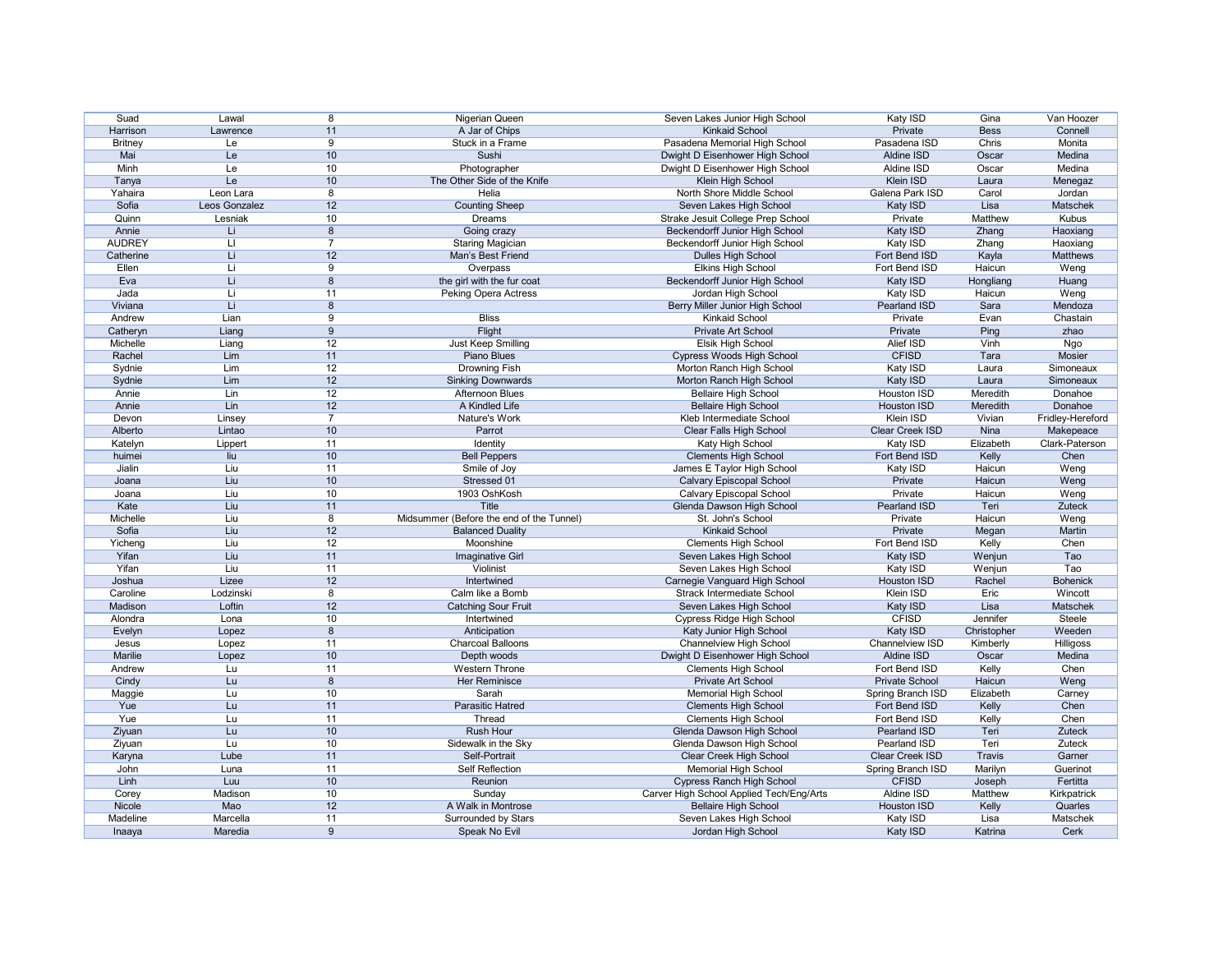| Suad           | Lawal         | 8               | Nigerian Queen                           | Seven Lakes Junior High School           | Katy ISD              | Gina            | Van Hoozer       |
|----------------|---------------|-----------------|------------------------------------------|------------------------------------------|-----------------------|-----------------|------------------|
| Harrison       | Lawrence      | 11              | A Jar of Chips                           | <b>Kinkaid School</b>                    | Private               | <b>Bess</b>     | Connell          |
| <b>Britney</b> | Le            | 9               | Stuck in a Frame                         | Pasadena Memorial High School            | Pasadena ISD          | <b>Chris</b>    | Monita           |
| Mai            | Le            | 10              | Sushi                                    | Dwight D Eisenhower High School          | Aldine ISD            | Oscar           | Medina           |
| Minh           | Le            | 10 <sup>°</sup> | Photographer                             | Dwight D Eisenhower High School          | Aldine ISD            | Oscar           | Medina           |
| Tanya          | Le            | 10              | The Other Side of the Knife              | Klein High School                        | Klein ISD             | Laura           | Menegaz          |
| Yahaira        | Leon Lara     | 8               | Helia                                    | North Shore Middle School                | Galena Park ISD       | Carol           | Jordan           |
| Sofia          | Leos Gonzalez | 12              | <b>Counting Sheep</b>                    | Seven Lakes High School                  | Katy ISD              | Lisa            | Matschek         |
| Quinn          | Lesniak       | 10              | Dreams                                   | Strake Jesuit College Prep School        | Private               | Matthew         | Kubus            |
| Annie          | Li            | 8               | Going crazy                              | Beckendorff Junior High School           | Katy ISD              | Zhang           | Haoxiang         |
| <b>AUDREY</b>  | LI            |                 | <b>Staring Magician</b>                  | Beckendorff Junior High School           | Katy ISD              | Zhang           | Haoxiang         |
|                | Li            | 12              | Man's Best Friend                        | Dulles High School                       |                       |                 |                  |
| Catherine      |               | 9               |                                          |                                          | Fort Bend ISD         | Kayla<br>Haicun | Matthews         |
| Ellen          |               |                 | Overpass                                 | <b>Elkins High School</b>                | Fort Bend ISD         |                 | Weng             |
| Eva            | Li            | 8               | the girl with the fur coat               | <b>Beckendorff Junior High School</b>    | Katy ISD              | Hongliang       | Huang            |
| Jada           | -Li           | 11              | <b>Peking Opera Actress</b>              | Jordan High School                       | Katy ISD              | Haicun          | Weng             |
| Viviana        | Li            | 8               |                                          | Berry Miller Junior High School          | Pearland ISD          | Sara            | Mendoza          |
| Andrew         | Lian          | 9               | <b>Bliss</b>                             | Kinkaid School                           | Private               | Evan            | Chastain         |
| Catheryn       | Liang         | 9               | Flight                                   | Private Art School                       | Private               | Ping            | zhao             |
| Michelle       | Liang         | 12              | Just Keep Smilling                       | <b>Elsik High School</b>                 | Alief ISD             | Vinh            | Ngo              |
| Rachel         | Lim           | 11              | Piano Blues                              | <b>Cypress Woods High School</b>         | <b>CFISD</b>          | Tara            | Mosier           |
| Sydnie         | Lim           | 12              | <b>Drowning Fish</b>                     | Morton Ranch High School                 | Katy ISD              | Laura           | Simoneaux        |
| Sydnie         | Lim           | 12              | <b>Sinking Downwards</b>                 | Morton Ranch High School                 | Katy ISD              | Laura           | Simoneaux        |
| Annie          | Lin           | 12              | <b>Afternoon Blues</b>                   | <b>Bellaire High School</b>              | Houston ISD           | Meredith        | Donahoe          |
| Annie          | Lin           | 12              | A Kindled Life                           | <b>Bellaire High School</b>              | <b>Houston ISD</b>    | Meredith        | Donahoe          |
| Devon          | Linsey        | $\overline{7}$  | Nature's Work                            | Kleb Intermediate School                 | <b>Klein ISD</b>      | Vivian          | Fridley-Hereford |
| Alberto        | Lintao        | 10              | Parrot                                   | <b>Clear Falls High School</b>           | Clear Creek ISD       | Nina            | Makepeace        |
| Katelyn        | Lippert       | 11              | Identity                                 | Katy High School                         | Katy ISD              | Elizabeth       | Clark-Paterson   |
| huimei         | liu           | 10              | <b>Bell Peppers</b>                      | <b>Clements High School</b>              | Fort Bend ISD         | Kelly           | Chen             |
| Jialin         | Liu           | 11              | Smile of Joy                             | James E Taylor High School               | Katy ISD              | Haicun          | Weng             |
| Joana          | Liu           | 10              | Stressed 01                              | <b>Calvary Episcopal School</b>          | Private               | Haicun          | Weng             |
| Joana          | Liu           | 10              | 1903 OshKosh                             | Calvary Episcopal School                 | Private               | Haicun          | Weng             |
| Kate           | Liu           | 11              | Title                                    | Glenda Dawson High School                | Pearland ISD          | Teri            | Zuteck           |
| Michelle       | Liu           | 8               | Midsummer (Before the end of the Tunnel) | St. John's School                        | Private               | Haicun          | Weng             |
| Sofia          | Liu           | 12              | <b>Balanced Duality</b>                  | <b>Kinkaid School</b>                    | Private               | Megan           | Martin           |
| Yicheng        | Liu           | 12              | Moonshine                                | <b>Clements High School</b>              | Fort Bend ISD         | Kelly           | Chen             |
| Yifan          | Liu           | 11              |                                          |                                          |                       |                 | Tao              |
|                |               |                 | Imaginative Girl                         | Seven Lakes High School                  | Katy ISD              | Wenjun          |                  |
| Yifan          | Liu           | 11              | Violinist                                | Seven Lakes High School                  | Katy ISD              | Wenjun          | Tao              |
| Joshua         | Lizee         | 12              | Intertwined                              | Carnegie Vanguard High School            | Houston ISD           | Rachel          | <b>Bohenick</b>  |
| Caroline       | Lodzinski     | 8               | Calm like a Bomb                         | <b>Strack Intermediate School</b>        | Klein ISD             | Eric            | Wincott          |
| Madison        | Loftin        | 12              | <b>Catching Sour Fruit</b>               | Seven Lakes High School                  | Katy ISD              | Lisa            | Matschek         |
| Alondra        | Lona          | 10              | Intertwined                              | Cypress Ridge High School                | <b>CFISD</b>          | Jennifer        | Steele           |
| Evelyn         | Lopez         | 8               | Anticipation                             | Katy Junior High School                  | Katy ISD              | Christopher     | Weeden           |
| Jesus          | Lopez         | 11              | <b>Charcoal Balloons</b>                 | <b>Channelview High School</b>           | Channelview ISD       | Kimberly        | Hilligoss        |
| Marilie        | Lopez         | 10              | Depth woods                              | Dwight D Eisenhower High School          | Aldine ISD            | Oscar           | Medina           |
| Andrew         | Lu            | 11              | <b>Western Throne</b>                    | <b>Clements High School</b>              | Fort Bend ISD         | Kelly           | Chen             |
| Cindy          | Lu            | 8               | Her Reminisce                            | Private Art School                       | <b>Private School</b> | Haicun          | Weng             |
| Maggie         | Lu            | 10              | Sarah                                    | Memorial High School                     | Spring Branch ISD     | Elizabeth       | Carney           |
| Yue            | Lu            | 11              | Parasitic Hatred                         | <b>Clements High School</b>              | Fort Bend ISD         | Kelly           | Chen             |
| Yue            | Lu            | 11              | Thread                                   | <b>Clements High School</b>              | Fort Bend ISD         | Kelly           | Chen             |
| Ziyuan         | Lu            | 10 <sup>°</sup> | <b>Rush Hour</b>                         | Glenda Dawson High School                | Pearland ISD          | Teri            | Zuteck           |
| Ziyuan         | Lu            | 10              | Sidewalk in the Sky                      | Glenda Dawson High School                | Pearland ISD          | Teri            | Zuteck           |
| Karyna         | Lube          | 11              | Self-Portrait                            | Clear Creek High School                  | Clear Creek ISD       | <b>Travis</b>   | Garner           |
| John           | Luna          | 11              | <b>Self Reflection</b>                   | <b>Memorial High School</b>              | Spring Branch ISD     | Marilyn         | Guerinot         |
| Linh           | Luu           | 10              | Reunion                                  | <b>Cypress Ranch High School</b>         | <b>CFISD</b>          | Joseph          | Fertitta         |
| Corey          | Madison       | 10              | Sunday                                   | Carver High School Applied Tech/Eng/Arts | Aldine ISD            | Matthew         | Kirkpatrick      |
| Nicole         | Mao           | 12              | A Walk in Montrose                       | <b>Bellaire High School</b>              | <b>Houston ISD</b>    | Kelly           | Quarles          |
| Madeline       | Marcella      | 11              | Surrounded by Stars                      | Seven Lakes High School                  | Katy ISD              | Lisa            | Matschek         |
| Inaaya         | Maredia       | $9\phantom{.0}$ | Speak No Evil                            | Jordan High School                       | Katy ISD              | Katrina         | Cerk             |
|                |               |                 |                                          |                                          |                       |                 |                  |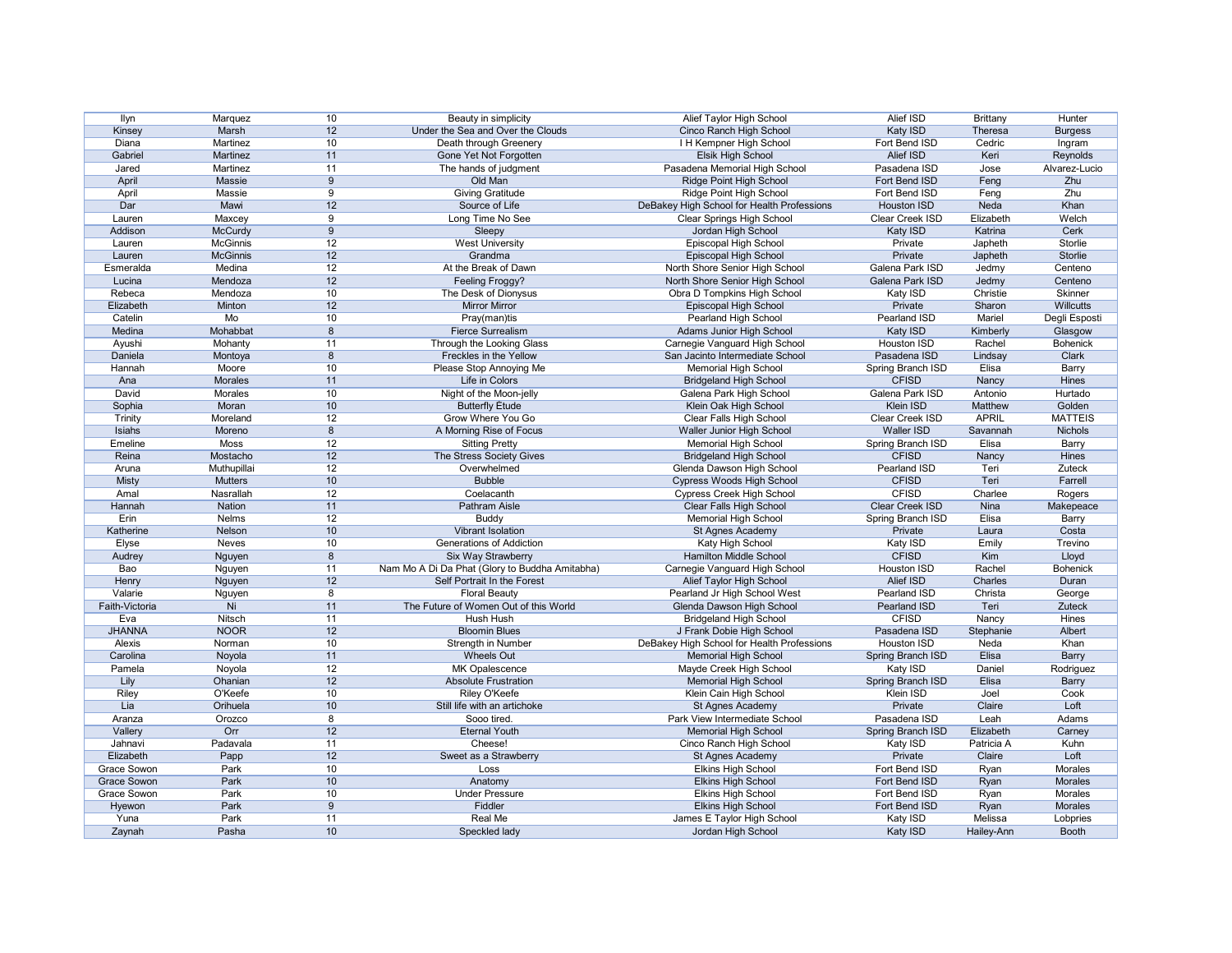| Ilyn           | Marquez         | 10              | Beauty in simplicity                           | Alief Taylor High School                   | Alief ISD           | <b>Brittany</b> | Hunter          |
|----------------|-----------------|-----------------|------------------------------------------------|--------------------------------------------|---------------------|-----------------|-----------------|
| Kinsey         | Marsh           | 12              | Under the Sea and Over the Clouds              | Cinco Ranch High School                    | Katy ISD            | Theresa         | <b>Burgess</b>  |
| Diana          | Martinez        | 10              | Death through Greenery                         | I H Kempner High School                    | Fort Bend ISD       | Cedric          | Ingram          |
| Gabriel        | Martinez        | 11              | Gone Yet Not Forgotten                         | Elsik High School                          | Alief ISD           | Keri            | Reynolds        |
| Jared          | Martinez        | 11              | The hands of judgment                          | Pasadena Memorial High School              | Pasadena ISD        | Jose            | Alvarez-Lucio   |
| April          | Massie          | 9               | Old Man                                        | Ridge Point High School                    | Fort Bend ISD       | Feng            | Zhu             |
| April          | Massie          | 9               | <b>Giving Gratitude</b>                        | Ridge Point High School                    | Fort Bend ISD       | Feng            | Zhu             |
| Dar            | Mawi            | 12              | Source of Life                                 | DeBakey High School for Health Professions | <b>Houston ISD</b>  | Neda            | Khan            |
| Lauren         | Maxcey          | 9               | Long Time No See                               | <b>Clear Springs High School</b>           | Clear Creek ISD     | Elizabeth       | Welch           |
| Addison        | <b>McCurdy</b>  | 9               | Sleepy                                         | Jordan High School                         | Katy ISD            | Katrina         | Cerk            |
| Lauren         | McGinnis        | 12              | <b>West University</b>                         | Episcopal High School                      | Private             | Japheth         | Storlie         |
|                | <b>McGinnis</b> |                 |                                                |                                            |                     |                 |                 |
| Lauren         |                 | 12              | Grandma                                        | Episcopal High School                      | Private             | Japheth         | Storlie         |
| Esmeralda      | Medina          | 12              | At the Break of Dawn                           | North Shore Senior High School             | Galena Park ISD     | Jedmy           | Centeno         |
| Lucina         | Mendoza         | 12              | Feeling Froggy?                                | North Shore Senior High School             | Galena Park ISD     | Jedmy           | Centeno         |
| Rebeca         | Mendoza         | 10              | The Desk of Dionysus                           | Obra D Tompkins High School                | Katy ISD            | Christie        | Skinner         |
| Elizabeth      | Minton          | 12              | <b>Mirror Mirror</b>                           | Episcopal High School                      | Private             | Sharon          | Willcutts       |
| Catelin        | Mo              | 10              | Pray(man)tis                                   | Pearland High School                       | Pearland ISD        | Mariel          | Degli Esposti   |
| Medina         | Mohabbat        | 8               | <b>Fierce Surrealism</b>                       | <b>Adams Junior High School</b>            | Katy ISD            | Kimberly        | Glasgow         |
| Ayushi         | Mohanty         | 11              | Through the Looking Glass                      | Carnegie Vanguard High School              | Houston ISD         | Rachel          | <b>Bohenick</b> |
| Daniela        | Montoya         | 8               | Freckles in the Yellow                         | San Jacinto Intermediate School            | Pasadena ISD        | Lindsay         | Clark           |
| Hannah         | Moore           | 10              | Please Stop Annoying Me                        | <b>Memorial High School</b>                | Spring Branch ISD   | Elisa           | <b>Barry</b>    |
| Ana            | <b>Morales</b>  | 11              | Life in Colors                                 | <b>Bridgeland High School</b>              | <b>CFISD</b>        | Nancy           | Hines           |
| David          | Morales         | 10              | Night of the Moon-jelly                        | Galena Park High School                    | Galena Park ISD     | Antonio         | Hurtado         |
| Sophia         | Moran           | 10              | <b>Butterfly Etude</b>                         | Klein Oak High School                      | Klein ISD           | Matthew         | Golden          |
| <b>Trinity</b> | Moreland        | 12              | Grow Where You Go                              | Clear Falls High School                    | Clear Creek ISD     | <b>APRIL</b>    | <b>MATTEIS</b>  |
| Isiahs         | Moreno          | 8               | A Morning Rise of Focus                        | Waller Junior High School                  | <b>Waller ISD</b>   | Savannah        | Nichols         |
| Emeline        | Moss            | 12              | <b>Sitting Pretty</b>                          | <b>Memorial High School</b>                | Spring Branch ISD   | Elisa           | <b>Barry</b>    |
| Reina          | Mostacho        | 12              | The Stress Society Gives                       | <b>Bridgeland High School</b>              | <b>CFISD</b>        | Nancy           | Hines           |
| Aruna          | Muthupillai     | 12              | Overwhelmed                                    | Glenda Dawson High School                  | <b>Pearland ISD</b> | Teri            | <b>Zuteck</b>   |
|                |                 | 10              | <b>Bubble</b>                                  |                                            | <b>CFISD</b>        | Teri            |                 |
| <b>Misty</b>   | <b>Mutters</b>  | 12              |                                                | <b>Cypress Woods High School</b>           | <b>CFISD</b>        |                 | Farrell         |
| Amal           | Nasrallah       |                 | Coelacanth                                     | <b>Cypress Creek High School</b>           |                     | Charlee         | Rogers          |
| Hannah         | <b>Nation</b>   | 11              | Pathram Aisle                                  | <b>Clear Falls High School</b>             | Clear Creek ISD     | Nina            | Makepeace       |
| Erin           | <b>Nelms</b>    | 12              | <b>Buddy</b>                                   | <b>Memorial High School</b>                | Spring Branch ISD   | Elisa           | Barry           |
| Katherine      | Nelson          | 10              | <b>Vibrant Isolation</b>                       | St Agnes Academy                           | Private             | Laura           | Costa           |
| Elyse          | Neves           | 10              | Generations of Addiction                       | Katy High School                           | Katy ISD            | Emily           | Trevino         |
| Audrey         | <b>Nguyen</b>   | 8               | Six Way Strawberry                             | <b>Hamilton Middle School</b>              | <b>CFISD</b>        | Kim             | <b>Lloyd</b>    |
| Bao            | Nguyen          | 11              | Nam Mo A Di Da Phat (Glory to Buddha Amitabha) | Carnegie Vanguard High School              | Houston ISD         | Rachel          | <b>Bohenick</b> |
| Henry          | Nguyen          | 12              | Self Portrait In the Forest                    | Alief Taylor High School                   | Alief ISD           | Charles         | Duran           |
| Valarie        | Nguyen          | 8               | <b>Floral Beauty</b>                           | Pearland Jr High School West               | Pearland ISD        | Christa         | George          |
| Faith-Victoria | Ni              | 11              | The Future of Women Out of this World          | Glenda Dawson High School                  | Pearland ISD        | Teri            | Zuteck          |
| Eva            | Nitsch          | 11              | Hush Hush                                      | <b>Bridgeland High School</b>              | <b>CFISD</b>        | Nancy           | Hines           |
| <b>JHANNA</b>  | <b>NOOR</b>     | 12              | <b>Bloomin Blues</b>                           | J Frank Dobie High School                  | Pasadena ISD        | Stephanie       | Albert          |
| Alexis         | Norman          | 10              | Strength in Number                             | DeBakey High School for Health Professions | Houston ISD         | Neda            | Khan            |
| Carolina       | Noyola          | 11              | <b>Wheels Out</b>                              | <b>Memorial High School</b>                | Spring Branch ISD   | Elisa           | <b>Barry</b>    |
| Pamela         | Noyola          | 12              | MK Opalescence                                 | Mayde Creek High School                    | Katy ISD            | Daniel          | Rodriguez       |
| Lily           | Ohanian         | 12              | <b>Absolute Frustration</b>                    | <b>Memorial High School</b>                | Spring Branch ISD   | Elisa           | <b>Barry</b>    |
| Riley          | O'Keefe         | 10              | Riley O'Keefe                                  | Klein Cain High School                     | Klein ISD           | Joel            | Cook            |
| Lia            | Orihuela        | 10              | Still life with an artichoke                   | St Agnes Academy                           | Private             | Claire          | Loft            |
| Aranza         | Orozco          | 8               | Sooo tired.                                    | Park View Intermediate School              | Pasadena ISD        | Leah            | Adams           |
| Vallery        | Orr             | 12              | <b>Eternal Youth</b>                           | <b>Memorial High School</b>                | Spring Branch ISD   | Elizabeth       | Carney          |
| Jahnavi        | Padavala        | 11              | Cheese!                                        | Cinco Ranch High School                    | Katy ISD            | Patricia A      | Kuhn            |
| Elizabeth      | Papp            | 12              | Sweet as a Strawberry                          | St Agnes Academy                           | Private             | Claire          | Loft            |
| Grace Sowon    | Park            | 10              | Loss                                           | <b>Elkins High School</b>                  | Fort Bend ISD       |                 | Morales         |
|                |                 |                 |                                                |                                            |                     | Ryan            |                 |
| Grace Sowon    | Park            | 10              | Anatomy                                        | <b>Elkins High School</b>                  | Fort Bend ISD       | Ryan            | Morales         |
| Grace Sowon    | Park            | 10              | <b>Under Pressure</b>                          | <b>Elkins High School</b>                  | Fort Bend ISD       | Ryan            | Morales         |
| Hyewon         | Park            | 9               | Fiddler                                        | <b>Elkins High School</b>                  | Fort Bend ISD       | Ryan            | Morales         |
| Yuna           | Park            | 11              | Real Me                                        | James E Taylor High School                 | Katy ISD            | Melissa         | Lobpries        |
| Zaynah         | Pasha           | 10 <sup>°</sup> | Speckled lady                                  | Jordan High School                         | Katy ISD            | Hailey-Ann      | <b>Booth</b>    |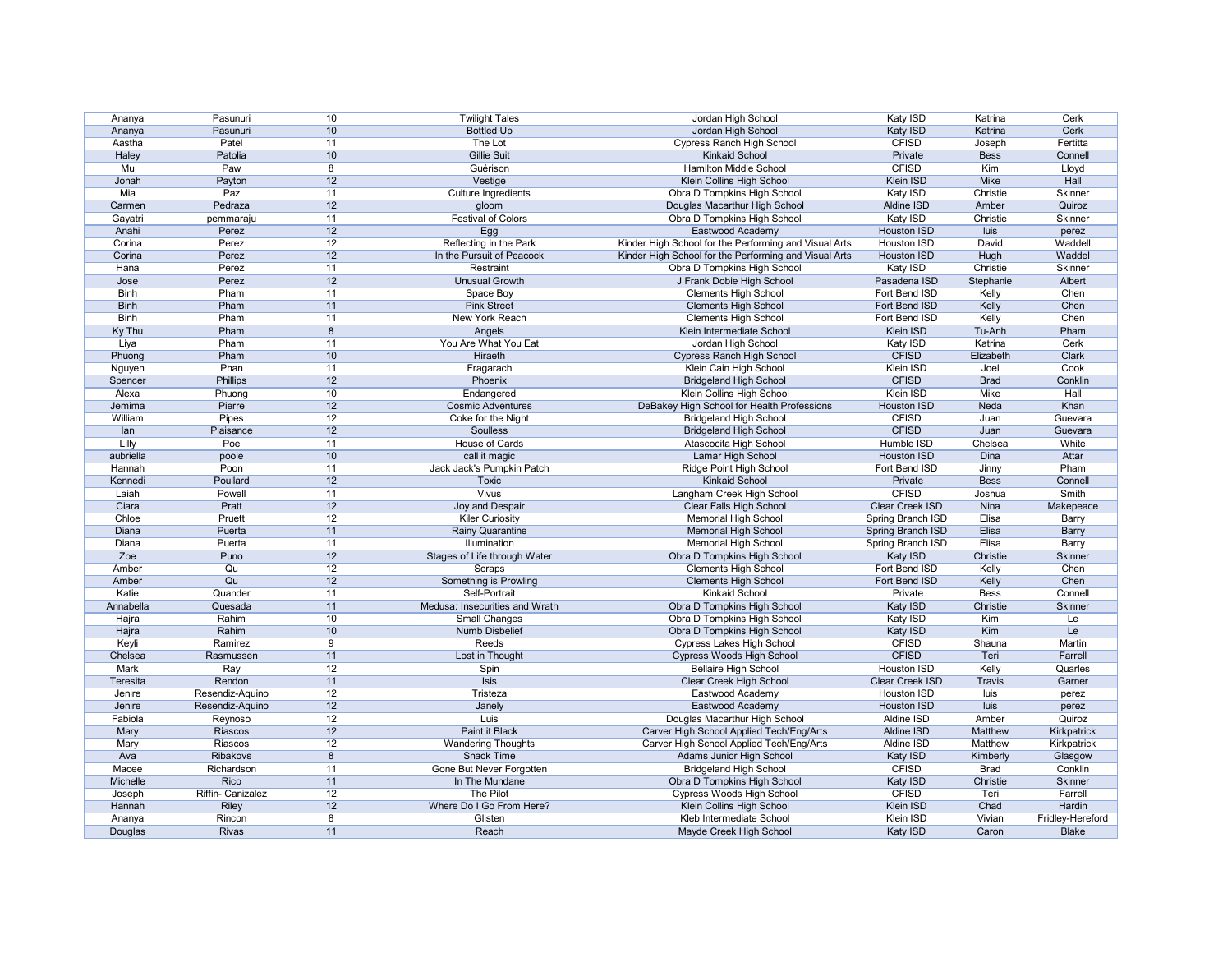| Ananya      | Pasunuri          | 10              | <b>Twilight Tales</b>          | Jordan High School                                    | Katy ISD           | Katrina       | Cerk             |
|-------------|-------------------|-----------------|--------------------------------|-------------------------------------------------------|--------------------|---------------|------------------|
| Ananya      | Pasunuri          | 10 <sup>°</sup> | <b>Bottled Up</b>              | Jordan High School                                    | <b>Katy ISD</b>    | Katrina       | Cerk             |
| Aastha      | Patel             | 11              | The Lot                        | <b>Cypress Ranch High School</b>                      | <b>CFISD</b>       | Joseph        | Fertitta         |
| Haley       | Patolia           | 10 <sup>°</sup> | <b>Gillie Suit</b>             | <b>Kinkaid School</b>                                 | Private            | <b>Bess</b>   | Connell          |
| Mu          | Paw               | 8               | Guérison                       | <b>Hamilton Middle School</b>                         | <b>CFISD</b>       | Kim           | Lloyd            |
| Jonah       | Payton            | 12              | Vestige                        | Klein Collins High School                             | Klein ISD          | Mike          | Hall             |
| Mia         | Paz               | 11              | Culture Ingredients            | Obra D Tompkins High School                           | Katy ISD           | Christie      | Skinner          |
| Carmen      | Pedraza           | 12              | gloom                          | Douglas Macarthur High School                         | Aldine ISD         | Amber         | Quiroz           |
| Gayatri     | pemmaraju         | 11              | <b>Festival of Colors</b>      | Obra D Tompkins High School                           | <b>Katy ISD</b>    | Christie      | Skinner          |
| Anahi       | Perez             | 12              | Egg                            | Eastwood Academy                                      | Houston ISD        | luis          | perez            |
| Corina      | Perez             | 12              | Reflecting in the Park         | Kinder High School for the Performing and Visual Arts | Houston ISD        | David         | Waddell          |
| Corina      | Perez             | 12              | In the Pursuit of Peacock      | Kinder High School for the Performing and Visual Arts | Houston ISD        | Hugh          | Waddel           |
| Hana        | Perez             | 11              | Restraint                      | Obra D Tompkins High School                           | Katy ISD           | Christie      | Skinner          |
| Jose        | Perez             | 12              | <b>Unusual Growth</b>          | J Frank Dobie High School                             | Pasadena ISD       | Stephanie     | Albert           |
| <b>Binh</b> | Pham              | 11              | Space Boy                      | <b>Clements High School</b>                           | Fort Bend ISD      | Kelly         | Chen             |
| <b>Binh</b> | Pham              | 11              | <b>Pink Street</b>             | <b>Clements High School</b>                           | Fort Bend ISD      | Kelly         | Chen             |
| <b>Binh</b> | Pham              | 11              | New York Reach                 |                                                       | Fort Bend ISD      |               | Chen             |
|             | Pham              | 8               |                                | <b>Clements High School</b>                           |                    | Kelly         | Pham             |
| Ky Thu      |                   |                 | Angels                         | Klein Intermediate School                             | Klein ISD          | Tu-Anh        |                  |
| Liya        | Pham              | 11              | You Are What You Eat           | Jordan High School                                    | Katy ISD           | Katrina       | Cerk             |
| Phuong      | Pham              | $10$            | Hiraeth                        | <b>Cypress Ranch High School</b>                      | <b>CFISD</b>       | Elizabeth     | Clark            |
| Nguyen      | Phan              | 11              | Fragarach                      | Klein Cain High School                                | <b>Klein ISD</b>   | Joel          | Cook             |
| Spencer     | Phillips          | 12              | Phoenix                        | <b>Bridgeland High School</b>                         | <b>CFISD</b>       | <b>Brad</b>   | Conklin          |
| Alexa       | Phuong            | 10              | Endangered                     | Klein Collins High School                             | <b>Klein ISD</b>   | <b>Mike</b>   | Hall             |
| Jemima      | Pierre            | 12              | <b>Cosmic Adventures</b>       | DeBakey High School for Health Professions            | Houston ISD        | Neda          | Khan             |
| William     | Pipes             | 12              | Coke for the Night             | <b>Bridgeland High School</b>                         | <b>CFISD</b>       | Juan          | Guevara          |
| lan         | Plaisance         | 12              | Soulless                       | <b>Bridgeland High School</b>                         | <b>CFISD</b>       | Juan          | Guevara          |
| Lilly       | Poe               | 11              | House of Cards                 | Atascocita High School                                | Humble ISD         | Chelsea       | White            |
| aubriella   | poole             | 10              | call it magic                  | Lamar High School                                     | <b>Houston ISD</b> | Dina          | Attar            |
| Hannah      | Poon              | 11              | Jack Jack's Pumpkin Patch      | <b>Ridge Point High School</b>                        | Fort Bend ISD      | Jinny         | Pham             |
| Kennedi     | Poullard          | 12              | <b>Toxic</b>                   | <b>Kinkaid School</b>                                 | Private            | <b>Bess</b>   | Connell          |
| Laiah       | Powell            | 11              | <b>Vivus</b>                   | Langham Creek High School                             | <b>CFISD</b>       | Joshua        | <b>Smith</b>     |
| Ciara       | Pratt             | 12              | Joy and Despair                | <b>Clear Falls High School</b>                        | Clear Creek ISD    | Nina          | Makepeace        |
| Chloe       | Pruett            | 12              | <b>Kiler Curiosity</b>         | <b>Memorial High School</b>                           | Spring Branch ISD  | Elisa         | <b>Barry</b>     |
| Diana       | Puerta            | 11              | <b>Rainy Quarantine</b>        | <b>Memorial High School</b>                           | Spring Branch ISD  | Elisa         | <b>Barry</b>     |
| Diana       | Puerta            | 11              | Illumination                   | <b>Memorial High School</b>                           | Spring Branch ISD  | Elisa         | Barry            |
| Zoe         | Puno              | 12              | Stages of Life through Water   | Obra D Tompkins High School                           | Katy ISD           | Christie      | Skinner          |
| Amber       | Qu                | 12              | Scraps                         | <b>Clements High School</b>                           | Fort Bend ISD      | Kelly         | Chen             |
| Amber       | Qu                | 12              | Something is Prowling          | <b>Clements High School</b>                           | Fort Bend ISD      | Kelly         | Chen             |
| Katie       | Quander           | 11              | Self-Portrait                  | <b>Kinkaid School</b>                                 | Private            | <b>Bess</b>   | Connell          |
| Annabella   | Quesada           | 11              | Medusa: Insecurities and Wrath | Obra D Tompkins High School                           | Katy ISD           | Christie      | Skinner          |
| Hajra       | Rahim             | 10              | <b>Small Changes</b>           | Obra D Tompkins High School                           | Katy ISD           | Kim           | Le               |
| Hajra       | Rahim             | 10              | Numb Disbelief                 | Obra D Tompkins High School                           | Katy ISD           | Kim           | Le               |
| Keyli       | Ramirez           | 9               | Reeds                          | <b>Cypress Lakes High School</b>                      | <b>CFISD</b>       | Shauna        | Martin           |
| Chelsea     | Rasmussen         | 11              | Lost in Thought                | Cypress Woods High School                             | <b>CFISD</b>       | Teri          | Farrell          |
| Mark        | Ray               | 12              |                                | <b>Bellaire High School</b>                           | Houston ISD        | Kelly         | Quarles          |
|             |                   |                 | Spin                           |                                                       |                    |               |                  |
| Teresita    | Rendon            | 11              | <b>Isis</b>                    | Clear Creek High School                               | Clear Creek ISD    | <b>Travis</b> | Garner           |
| Jenire      | Resendiz-Aquino   | 12              | Tristeza                       | Eastwood Academy                                      | Houston ISD        | luis          | perez            |
| Jenire      | Resendiz-Aquino   | 12              | Janely                         | Eastwood Academy                                      | Houston ISD        | luis          | perez            |
| Fabiola     | Reynoso           | 12              | Luis                           | Douglas Macarthur High School                         | Aldine ISD         | Amber         | Quiroz           |
| Mary        | Riascos           | 12              | Paint it Black                 | Carver High School Applied Tech/Eng/Arts              | Aldine ISD         | Matthew       | Kirkpatrick      |
| Mary        | Riascos           | 12              | <b>Wandering Thoughts</b>      | Carver High School Applied Tech/Eng/Arts              | Aldine ISD         | Matthew       | Kirkpatrick      |
| Ava         | Ribakovs          | 8               | <b>Snack Time</b>              | Adams Junior High School                              | Katy ISD           | Kimberly      | Glasgow          |
| Macee       | Richardson        | 11              | Gone But Never Forgotten       | <b>Bridgeland High School</b>                         | <b>CFISD</b>       | <b>Brad</b>   | Conklin          |
| Michelle    | Rico              | 11              | In The Mundane                 | Obra D Tompkins High School                           | Katy ISD           | Christie      | Skinner          |
| Joseph      | Riffin- Canizalez | 12              | <b>The Pilot</b>               | Cypress Woods High School                             | <b>CFISD</b>       | Teri          | Farrell          |
| Hannah      | Riley             | 12              | Where Do I Go From Here?       | Klein Collins High School                             | Klein ISD          | Chad          | Hardin           |
| Ananya      | Rincon            | 8               | Glisten                        | Kleb Intermediate School                              | Klein ISD          | Vivian        | Fridley-Hereford |
| Douglas     | <b>Rivas</b>      | 11              | Reach                          | Mayde Creek High School                               | Katy ISD           | Caron         | <b>Blake</b>     |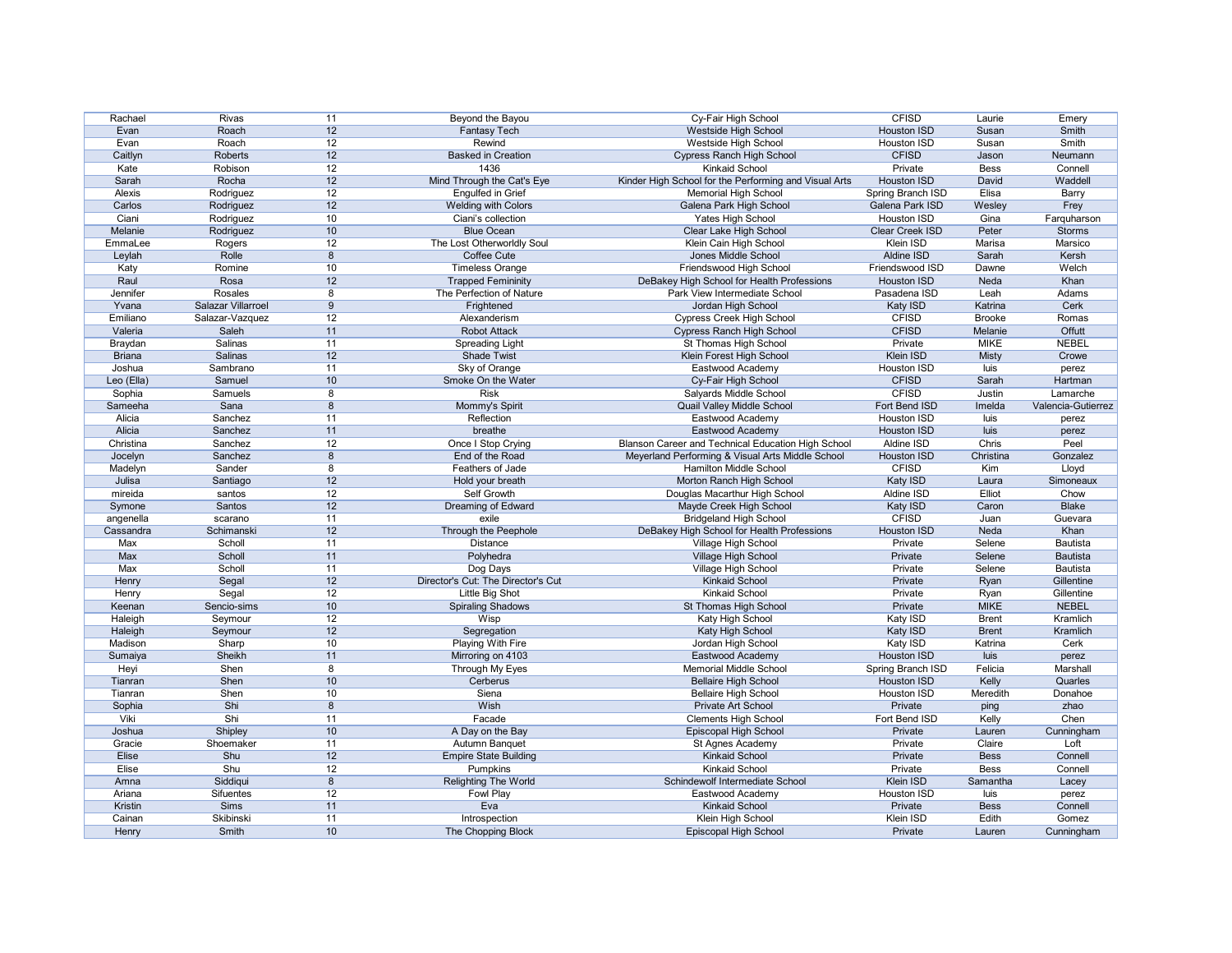| Rachael       | Rivas              | 11              | Beyond the Bayou                   | Cy-Fair High School                                   | <b>CFISD</b>       | Laurie        | Emery              |
|---------------|--------------------|-----------------|------------------------------------|-------------------------------------------------------|--------------------|---------------|--------------------|
| Evan          | Roach              | 12              | <b>Fantasy Tech</b>                | <b>Westside High School</b>                           | <b>Houston ISD</b> | Susan         | Smith              |
| Evan          | Roach              | 12              | Rewind                             | Westside High School                                  | Houston ISD        | Susan         | <b>Smith</b>       |
| Caitlyn       | Roberts            | 12              | <b>Basked in Creation</b>          | <b>Cypress Ranch High School</b>                      | <b>CFISD</b>       | Jason         | Neumann            |
| Kate          | Robison            | 12              | 1436                               | <b>Kinkaid School</b>                                 | Private            | <b>Bess</b>   | Connell            |
| Sarah         | Rocha              | 12              | Mind Through the Cat's Eye         | Kinder High School for the Performing and Visual Arts | <b>Houston ISD</b> | David         | Waddell            |
| Alexis        | Rodriguez          | 12              | <b>Engulfed in Grief</b>           | <b>Memorial High School</b>                           | Spring Branch ISD  | Elisa         | Barry              |
| Carlos        | Rodriguez          | 12              | Welding with Colors                | Galena Park High School                               | Galena Park ISD    | Wesley        | Frey               |
| Ciani         | Rodriguez          | 10              | Ciani's collection                 | Yates High School                                     | Houston ISD        | Gina          | Farquharson        |
| Melanie       | Rodriguez          | 10              | <b>Blue Ocean</b>                  | Clear Lake High School                                | Clear Creek ISD    | Peter         | <b>Storms</b>      |
| EmmaLee       |                    | 12              | The Lost Otherworldly Soul         | Klein Cain High School                                | Klein ISD          | Marisa        | Marsico            |
|               | Rogers<br>Rolle    | 8               | Coffee Cute                        | Jones Middle School                                   | Aldine ISD         | Sarah         | Kersh              |
| Leylah        |                    |                 |                                    |                                                       |                    |               |                    |
| Katy          | Romine             | 10              | <b>Timeless Orange</b>             | Friendswood High School                               | Friendswood ISD    | Dawne         | Welch              |
| Raul          | Rosa               | 12              | <b>Trapped Femininity</b>          | DeBakey High School for Health Professions            | <b>Houston ISD</b> | Neda          | Khan               |
| Jennifer      | Rosales            | 8               | The Perfection of Nature           | Park View Intermediate School                         | Pasadena ISD       | Leah          | Adams              |
| Yvana         | Salazar Villarroel | 9               | Frightened                         | Jordan High School                                    | Katy ISD           | Katrina       | Cerk               |
| Emiliano      | Salazar-Vazquez    | 12              | Alexanderism                       | <b>Cypress Creek High School</b>                      | <b>CFISD</b>       | <b>Brooke</b> | Romas              |
| Valeria       | Saleh              | 11              | <b>Robot Attack</b>                | <b>Cypress Ranch High School</b>                      | <b>CFISD</b>       | Melanie       | <b>Offutt</b>      |
| Braydan       | Salinas            | 11              | <b>Spreading Light</b>             | St Thomas High School                                 | Private            | <b>MIKE</b>   | <b>NEBEL</b>       |
| <b>Briana</b> | Salinas            | 12              | Shade Twist                        | Klein Forest High School                              | Klein ISD          | <b>Misty</b>  | Crowe              |
| Joshua        | Sambrano           | 11              | Sky of Orange                      | Eastwood Academy                                      | Houston ISD        | luis          | perez              |
| Leo (Ella)    | Samuel             | 10              | Smoke On the Water                 | Cy-Fair High School                                   | <b>CFISD</b>       | Sarah         | Hartman            |
| Sophia        | Samuels            | 8               | <b>Risk</b>                        | Salyards Middle School                                | <b>CFISD</b>       | Justin        | Lamarche           |
| Sameeha       | Sana               | 8               | Mommy's Spirit                     | Quail Valley Middle School                            | Fort Bend ISD      | Imelda        | Valencia-Gutierrez |
| Alicia        | Sanchez            | 11              | Reflection                         | Eastwood Academy                                      | Houston ISD        | luis          | perez              |
| Alicia        | Sanchez            | 11              | breathe                            | Eastwood Academy                                      | <b>Houston ISD</b> | luis          | perez              |
| Christina     | Sanchez            | 12              | Once I Stop Crying                 | Blanson Career and Technical Education High School    | Aldine ISD         | Chris         | Peel               |
| Jocelyn       | Sanchez            | 8               | End of the Road                    | Meyerland Performing & Visual Arts Middle School      | <b>Houston ISD</b> | Christina     | Gonzalez           |
| Madelyn       | Sander             | 8               | Feathers of Jade                   | <b>Hamilton Middle School</b>                         | <b>CFISD</b>       | Kim           | Lloyd              |
| Julisa        | Santiago           | 12              | Hold your breath                   | Morton Ranch High School                              | <b>Katy ISD</b>    | Laura         | Simoneaux          |
| mireida       | santos             | 12              | Self Growth                        | Douglas Macarthur High School                         | Aldine ISD         | Elliot        | Chow               |
| Symone        | Santos             | 12              | Dreaming of Edward                 | Mayde Creek High School                               | <b>Katy ISD</b>    | Caron         | <b>Blake</b>       |
| angenella     | scarano            | 11              | exile                              | <b>Bridgeland High School</b>                         | <b>CFISD</b>       | Juan          | Guevara            |
| Cassandra     | Schimanski         | 12              | Through the Peephole               | DeBakey High School for Health Professions            | <b>Houston ISD</b> | Neda          | Khan               |
| Max           | Scholl             | 11              | <b>Distance</b>                    | Village High School                                   | Private            | Selene        | Bautista           |
| Max           | Scholl             | 11              | Polyhedra                          | Village High School                                   | Private            | Selene        | Bautista           |
| Max           | Scholl             | 11              | Dog Days                           | Village High School                                   | Private            | Selene        | Bautista           |
| Henry         | Segal              | 12              | Director's Cut: The Director's Cut | Kinkaid School                                        | Private            | Ryan          | Gillentine         |
|               |                    | 12              | <b>Little Big Shot</b>             | <b>Kinkaid School</b>                                 | Private            |               | Gillentine         |
| Henry         | Segal              |                 |                                    |                                                       | Private            | Ryan          |                    |
| Keenan        | Sencio-sims        | 10              | <b>Spiraling Shadows</b>           | St Thomas High School                                 |                    | <b>MIKE</b>   | <b>NEBEL</b>       |
| Haleigh       | Seymour            | $\overline{12}$ | Wisp                               | Katy High School                                      | Katy ISD           | <b>Brent</b>  | Kramlich           |
| Haleigh       | Seymour            | 12              | Segregation                        | Katy High School                                      | Katy ISD           | <b>Brent</b>  | Kramlich           |
| Madison       | Sharp              | 10              | Playing With Fire                  | Jordan High School                                    | Katy ISD           | Katrina       | Cerk               |
| Sumaiya       | Sheikh             | 11              | Mirroring on 4103                  | Eastwood Academy                                      | <b>Houston ISD</b> | luis          | perez              |
| Heyi          | Shen               | 8               | Through My Eyes                    | <b>Memorial Middle School</b>                         | Spring Branch ISD  | Felicia       | Marshall           |
| Tianran       | Shen               | 10              | Cerberus                           | <b>Bellaire High School</b>                           | Houston ISD        | Kelly         | Quarles            |
| Tianran       | Shen               | 10              | Siena                              | <b>Bellaire High School</b>                           | Houston ISD        | Meredith      | Donahoe            |
| Sophia        | Shi                | 8               | Wish                               | Private Art School                                    | Private            | ping          | zhao               |
| Viki          | Shi                | 11              | Facade                             | <b>Clements High School</b>                           | Fort Bend ISD      | Kelly         | Chen               |
| Joshua        | Shipley            | 10              | A Day on the Bay                   | <b>Episcopal High School</b>                          | Private            | Lauren        | Cunningham         |
| Gracie        | Shoemaker          | 11              | Autumn Banquet                     | St Agnes Academy                                      | Private            | Claire        | Loft               |
| Elise         | Shu                | 12              | <b>Empire State Building</b>       | <b>Kinkaid School</b>                                 | Private            | <b>Bess</b>   | Connell            |
| Elise         | Shu                | 12              | Pumpkins                           | <b>Kinkaid School</b>                                 | Private            | <b>Bess</b>   | Connell            |
| Amna          | Siddiqui           | 8               | <b>Relighting The World</b>        | Schindewolf Intermediate School                       | Klein ISD          | Samantha      | Lacey              |
| Ariana        | Sifuentes          | 12              | Fowl Play                          | Eastwood Academy                                      | Houston ISD        | luis          | perez              |
| Kristin       | <b>Sims</b>        | 11              | Eva                                | <b>Kinkaid School</b>                                 | Private            | <b>Bess</b>   | Connell            |
| Cainan        | Skibinski          | 11              | Introspection                      | Klein High School                                     | Klein ISD          | Edith         | Gomez              |
| Henry         | Smith              | 10 <sup>°</sup> | The Chopping Block                 | Episcopal High School                                 | Private            | Lauren        | Cunningham         |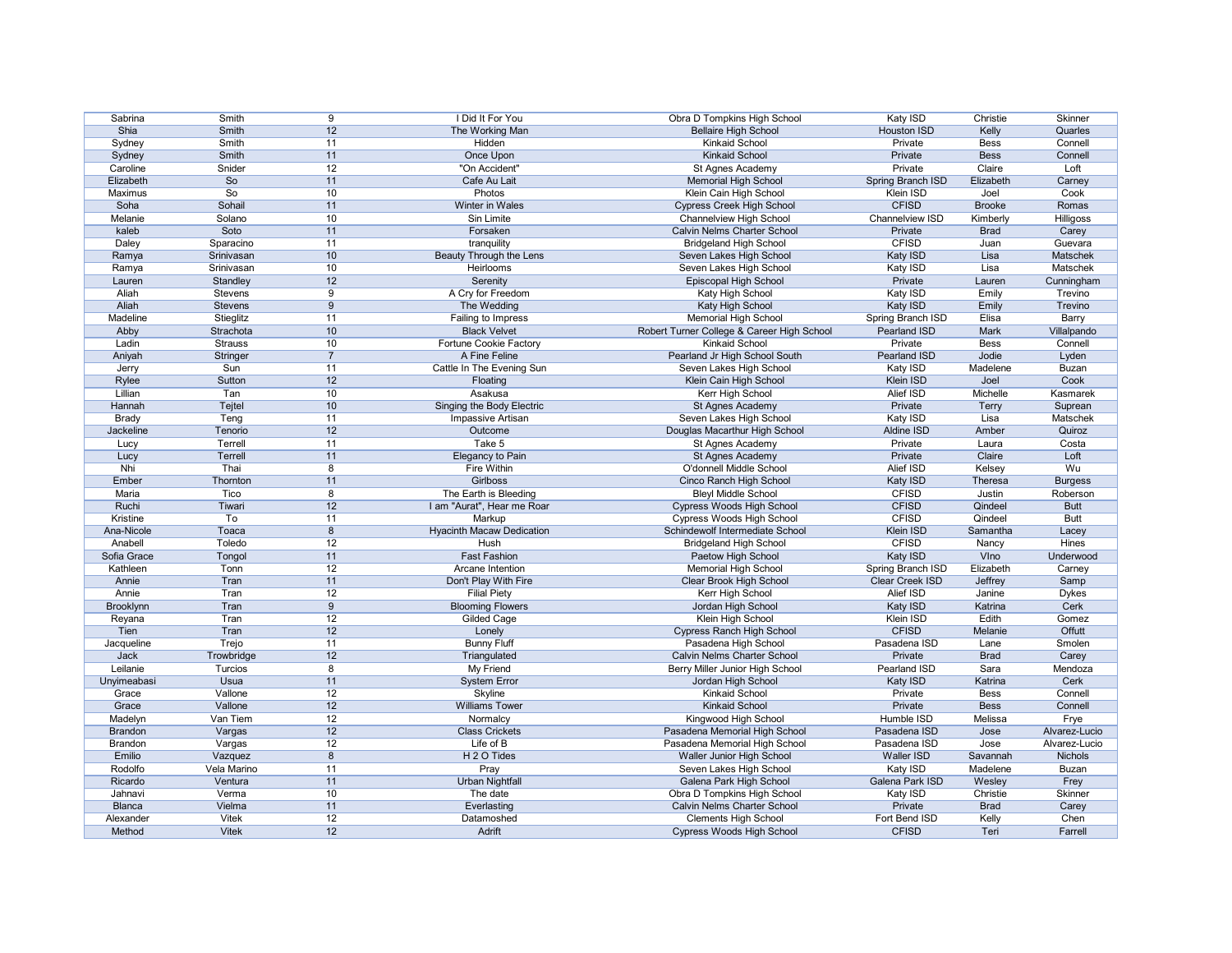| Sabrina        | Smith          | 9               | I Did It For You                 | Obra D Tompkins High School                | Katy ISD           | Christie      | Skinner          |
|----------------|----------------|-----------------|----------------------------------|--------------------------------------------|--------------------|---------------|------------------|
| Shia           | <b>Smith</b>   | 12              | The Working Man                  | <b>Bellaire High School</b>                | <b>Houston ISD</b> | Kelly         | Quarles          |
| Sydney         | <b>Smith</b>   | 11              | Hidden                           | <b>Kinkaid School</b>                      | Private            | <b>Bess</b>   | Connell          |
| Sydney         | Smith          | 11              | Once Upon                        | <b>Kinkaid School</b>                      | Private            | <b>Bess</b>   | Connell          |
| Caroline       | Snider         | 12              | "On Accident"                    | St Agnes Academy                           | Private            | Claire        | Loft             |
| Elizabeth      | So             | 11              | Cafe Au Lait                     | <b>Memorial High School</b>                | Spring Branch ISD  | Elizabeth     | Carney           |
| Maximus        | So             | 10 <sup>°</sup> | Photos                           | Klein Cain High School                     | Klein ISD          | Joel          | Cook             |
| Soha           | Sohail         | 11              | Winter in Wales                  | <b>Cypress Creek High School</b>           | <b>CFISD</b>       | <b>Brooke</b> | Romas            |
| Melanie        | Solano         | 10              | Sin Limite                       | <b>Channelview High School</b>             | Channelview ISD    | Kimberly      | <b>Hilligoss</b> |
| kaleb          | Soto           | 11              | Forsaken                         | <b>Calvin Nelms Charter School</b>         | Private            | <b>Brad</b>   | Carey            |
| Daley          | Sparacino      | 11              | tranquility                      | <b>Bridgeland High School</b>              | <b>CFISD</b>       | Juan          | Guevara          |
| Ramya          | Srinivasan     | 10              | Beauty Through the Lens          | Seven Lakes High School                    | Katy ISD           | Lisa          | Matschek         |
| Ramya          | Srinivasan     | 10              | Heirlooms                        | Seven Lakes High School                    | Katy ISD           | Lisa          | Matschek         |
| Lauren         | Standley       | 12              | Serenity                         | Episcopal High School                      | Private            | Lauren        | Cunningham       |
| Aliah          | <b>Stevens</b> | 9               | A Cry for Freedom                | Katy High School                           | Katy ISD           | Emily         | Trevino          |
| Aliah          | <b>Stevens</b> | 9               | The Wedding                      | Katy High School                           | Katy ISD           | Emily         | Trevino          |
| Madeline       | Stieglitz      | 11              | Failing to Impress               | <b>Memorial High School</b>                | Spring Branch ISD  | Elisa         | Barry            |
| Abby           | Strachota      | 10 <sup>°</sup> | <b>Black Velvet</b>              |                                            |                    | Mark          |                  |
|                |                |                 |                                  | Robert Turner College & Career High School | Pearland ISD       |               | Villalpando      |
| Ladin          | <b>Strauss</b> | 10              | <b>Fortune Cookie Factory</b>    | <b>Kinkaid School</b>                      | Private            | <b>Bess</b>   | Connell          |
| Aniyah         | Stringer       | $\overline{7}$  | A Fine Feline                    | Pearland Jr High School South              | Pearland ISD       | Jodie         | Lyden            |
| Jerry          | Sun            | 11              | Cattle In The Evening Sun        | Seven Lakes High School                    | Katy ISD           | Madelene      | <b>Buzan</b>     |
| Rylee          | Sutton         | 12              | Floating                         | Klein Cain High School                     | Klein ISD          | Joel          | Cook             |
| Lillian        | Tan            | 10 <sup>°</sup> | Asakusa                          | Kerr High School                           | <b>Alief ISD</b>   | Michelle      | Kasmarek         |
| Hannah         | Tejtel         | 10 <sup>°</sup> | Singing the Body Electric        | St Agnes Academy                           | Private            | <b>Terry</b>  | Suprean          |
| <b>Brady</b>   | Teng           | 11              | Impassive Artisan                | Seven Lakes High School                    | Katy ISD           | Lisa          | Matschek         |
| Jackeline      | Tenorio        | 12              | Outcome                          | Douglas Macarthur High School              | Aldine ISD         | Amber         | Quiroz           |
| Lucy           | Terrell        | 11              | Take 5                           | St Agnes Academy                           | Private            | Laura         | Costa            |
| Lucy           | Terrell        | 11              | Elegancy to Pain                 | St Agnes Academy                           | Private            | Claire        | Loft             |
| Nhi            | Thai           | 8               | Fire Within                      | O'donnell Middle School                    | <b>Alief ISD</b>   | Kelsey        | Wu               |
| Ember          | Thornton       | 11              | <b>Girlboss</b>                  | Cinco Ranch High School                    | Katy ISD           | Theresa       | <b>Burgess</b>   |
| Maria          | Tico           | 8               | The Earth is Bleeding            | <b>Bleyl Middle School</b>                 | <b>CFISD</b>       | Justin        | Roberson         |
| Ruchi          | Tiwari         | 12              | I am "Aurat", Hear me Roar       | Cypress Woods High School                  | <b>CFISD</b>       | Qindeel       | <b>Butt</b>      |
| Kristine       | To             | 11              | Markup                           | Cypress Woods High School                  | <b>CFISD</b>       | Qindeel       | <b>Butt</b>      |
| Ana-Nicole     | Toaca          | 8               | <b>Hyacinth Macaw Dedication</b> | Schindewolf Intermediate School            | Klein ISD          | Samantha      | Lacey            |
| Anabell        | Toledo         | 12              | Hush                             | <b>Bridgeland High School</b>              | <b>CFISD</b>       | Nancy         | <b>Hines</b>     |
| Sofia Grace    | Tongol         | 11              | <b>Fast Fashion</b>              | Paetow High School                         | Katy ISD           | VIno          | Underwood        |
| Kathleen       | Tonn           | 12              | Arcane Intention                 | <b>Memorial High School</b>                | Spring Branch ISD  | Elizabeth     | Carney           |
| Annie          | Tran           | 11              | Don't Play With Fire             | Clear Brook High School                    | Clear Creek ISD    | Jeffrey       | Samp             |
| Annie          | Tran           | 12              | <b>Filial Piety</b>              | Kerr High School                           | Alief ISD          | Janine        | <b>Dykes</b>     |
| Brooklynn      | Tran           | 9               | <b>Blooming Flowers</b>          | Jordan High School                         | Katy ISD           | Katrina       | Cerk             |
| Reyana         | Tran           | 12              | <b>Gilded Cage</b>               | Klein High School                          | Klein ISD          | Edith         | Gomez            |
| Tien           | Tran           | 12              | Lonely                           | <b>Cypress Ranch High School</b>           | <b>CFISD</b>       | Melanie       | Offutt           |
| Jacqueline     | Trejo          | 11              | <b>Bunny Fluff</b>               | Pasadena High School                       | Pasadena ISD       | Lane          | Smolen           |
| Jack           | Trowbridge     | 12              | Triangulated                     | <b>Calvin Nelms Charter School</b>         | Private            | <b>Brad</b>   | Carey            |
| Leilanie       | Turcios        | 8               | My Friend                        |                                            | Pearland ISD       | Sara          | Mendoza          |
|                |                |                 |                                  | Berry Miller Junior High School            |                    |               |                  |
| Unyimeabasi    | Usua           | 11              | <b>System Error</b>              | Jordan High School                         | Katy ISD           | Katrina       | Cerk             |
| Grace          | Vallone        | 12              | Skyline                          | <b>Kinkaid School</b>                      | Private            | <b>Bess</b>   | Connell          |
| Grace          | Vallone        | 12              | <b>Williams Tower</b>            | <b>Kinkaid School</b>                      | Private            | <b>Bess</b>   | Connell          |
| Madelyn        | Van Tiem       | 12              | Normalcy                         | Kingwood High School                       | Humble ISD         | Melissa       | Frye             |
| <b>Brandon</b> | Vargas         | 12              | <b>Class Crickets</b>            | Pasadena Memorial High School              | Pasadena ISD       | Jose          | Alvarez-Lucio    |
| <b>Brandon</b> | Vargas         | 12              | Life of B                        | Pasadena Memorial High School              | Pasadena ISD       | Jose          | Alvarez-Lucio    |
| Emilio         | Vazquez        | 8               | H 2 O Tides                      | Waller Junior High School                  | Waller ISD         | Savannah      | Nichols          |
| Rodolfo        | Vela Marino    | 11              | Pray                             | Seven Lakes High School                    | Katy ISD           | Madelene      | <b>Buzan</b>     |
| Ricardo        | Ventura        | 11              | <b>Urban Nightfall</b>           | Galena Park High School                    | Galena Park ISD    | Wesley        | Frey             |
| Jahnavi        | Verma          | 10              | The date                         | Obra D Tompkins High School                | Katy ISD           | Christie      | Skinner          |
| <b>Blanca</b>  | Vielma         | 11              | Everlasting                      | Calvin Nelms Charter School                | Private            | <b>Brad</b>   | Carey            |
| Alexander      |                |                 |                                  | <b>Clements High School</b>                | Fort Bend ISD      |               |                  |
|                | <b>Vitek</b>   | 12              | Datamoshed                       |                                            |                    | Kelly         | Chen             |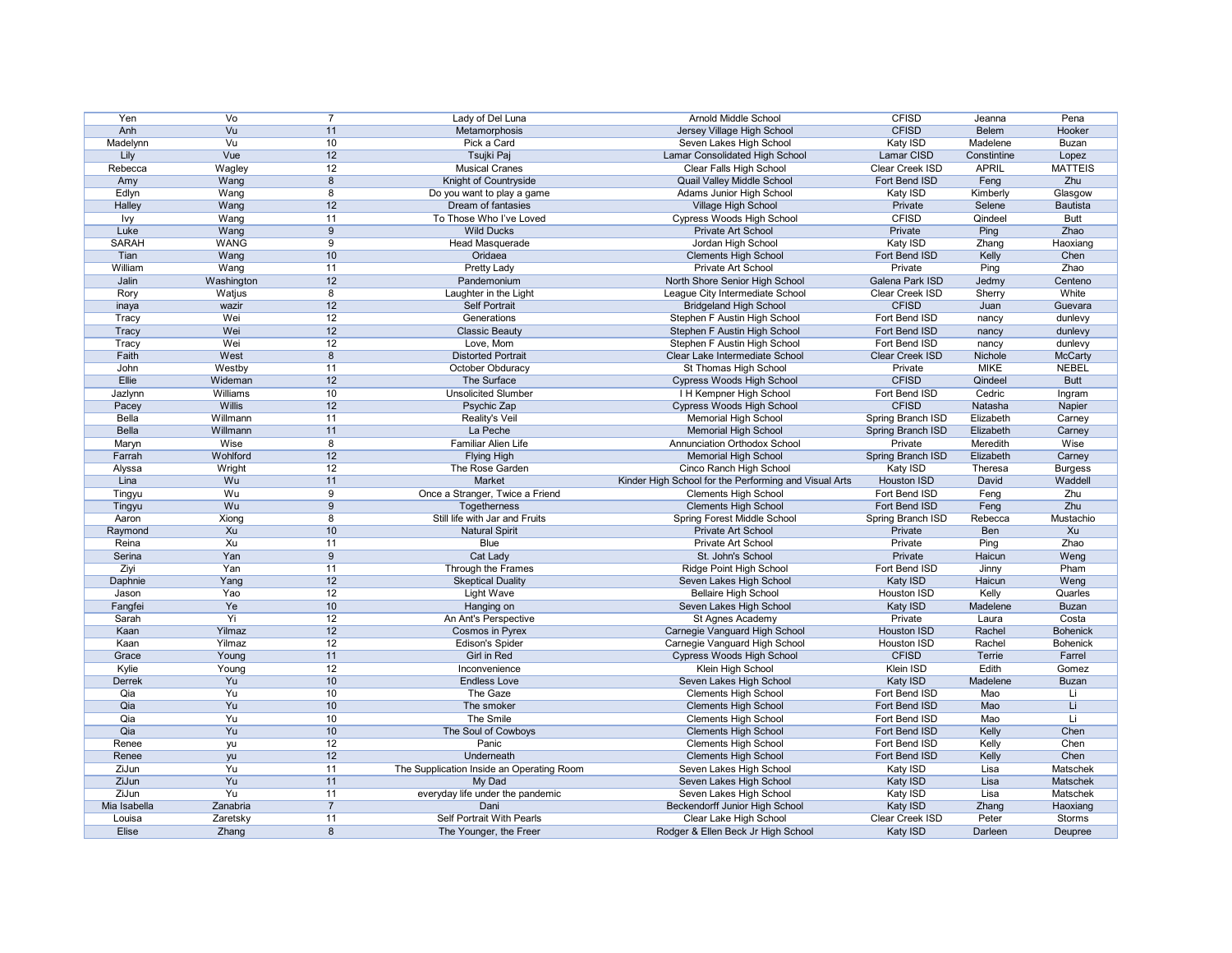| Yen              | $\overline{\mathsf{V}}\mathsf{o}$ |                 | Lady of Del Luna                                    | <b>Arnold Middle School</b>                                  | <b>CFISD</b>                | Jeanna       | Pena                     |
|------------------|-----------------------------------|-----------------|-----------------------------------------------------|--------------------------------------------------------------|-----------------------------|--------------|--------------------------|
| Anh              | Vu                                | 11              | Metamorphosis                                       | Jersey Village High School                                   | <b>CFISD</b>                | <b>Belem</b> | Hooker                   |
| Madelynn         | $\overline{\mathsf{V}}$ u         | 10 <sup>°</sup> | Pick a Card                                         | Seven Lakes High School                                      | Katy ISD                    | Madelene     | <b>Buzan</b>             |
| Lily             | Vue                               | 12              | Tsujki Paj                                          | Lamar Consolidated High School                               | Lamar CISD                  | Constintine  | Lopez                    |
| Rebecca          | Wagley                            | 12              | <b>Musical Cranes</b>                               | Clear Falls High School                                      | Clear Creek ISD             | <b>APRIL</b> | <b>MATTEIS</b>           |
| Amy              | Wang                              | 8               | Knight of Countryside                               | Quail Valley Middle School                                   | Fort Bend ISD               | Feng         | Zhu                      |
| Edlyn            | Wang                              | 8               | Do you want to play a game                          | Adams Junior High School                                     | Katy ISD                    | Kimberly     | Glasgow                  |
| Halley           | Wang                              | 12              | Dream of fantasies                                  | Village High School                                          | Private                     | Selene       | <b>Bautista</b>          |
| <u>lvy</u>       | Wang                              | 11              | To Those Who I've Loved                             | <b>Cypress Woods High School</b>                             | <b>CFISD</b>                | Qindeel      | <b>Butt</b>              |
| Luke             | Wang                              | 9               | <b>Wild Ducks</b>                                   | Private Art School                                           | Private                     | Ping         | Zhao                     |
| <b>SARAH</b>     | <b>WANG</b>                       | 9               | Head Masquerade                                     | Jordan High School                                           | Katy ISD                    | Zhang        | Haoxiang                 |
| Tian             | Wang                              | 10              | Oridaea                                             | <b>Clements High School</b>                                  | Fort Bend ISD               | Kelly        | Chen                     |
| William          | Wang                              | 11              | <b>Pretty Lady</b>                                  | Private Art School                                           | Private                     | Ping         | Zhao                     |
| Jalin            | Washington                        | 12              | Pandemonium                                         | North Shore Senior High School                               | Galena Park ISD             | Jedmy        | Centeno                  |
| Rory             | Watjus                            | 8               | Laughter in the Light                               | League City Intermediate School                              | Clear Creek ISD             | Sherry       | White                    |
| inaya            | wazir                             | 12              | <b>Self Portrait</b>                                | <b>Bridgeland High School</b>                                | <b>CFISD</b>                | Juan         | Guevara                  |
|                  | Wei                               | 12              | Generations                                         | Stephen F Austin High School                                 | Fort Bend ISD               |              | dunlevy                  |
| Tracy            | Wei                               | 12              | <b>Classic Beauty</b>                               |                                                              | Fort Bend ISD               | nancy        | dunlevy                  |
| Tracy            |                                   |                 |                                                     | Stephen F Austin High School                                 |                             | nancy        |                          |
| Tracy            | Wei                               | 12              | Love, Mom                                           | Stephen F Austin High School                                 | Fort Bend ISD               | nancy        | dunlevy                  |
| Faith            | West                              | 8               | <b>Distorted Portrait</b>                           | Clear Lake Intermediate School                               | Clear Creek ISD             | Nichole      | <b>McCarty</b>           |
| John             | Westby                            | 11              | October Obduracy                                    | St Thomas High School                                        | Private                     | <b>MIKE</b>  | <b>NEBEL</b>             |
| Ellie            | Wideman                           | 12              | The Surface                                         | Cypress Woods High School                                    | <b>CFISD</b>                | Qindeel      | <b>Butt</b>              |
| Jazlynn          | Williams                          | 10              | <b>Unsolicited Slumber</b>                          | I H Kempner High School                                      | Fort Bend ISD               | Cedric       | Ingram                   |
| Pacey            | Willis                            | 12              | Psychic Zap                                         | Cypress Woods High School                                    | <b>CFISD</b>                | Natasha      | Napier                   |
| Bella            | Willmann                          | 11              | Reality's Veil                                      | <b>Memorial High School</b>                                  | Spring Branch ISD           | Elizabeth    | Carney                   |
| <b>Bella</b>     | Willmann                          | 11              | La Peche                                            | <b>Memorial High School</b>                                  | Spring Branch ISD           | Elizabeth    | Carney                   |
| Maryn            | Wise                              | 8               | Familiar Alien Life                                 | <b>Annunciation Orthodox School</b>                          | Private                     | Meredith     | Wise                     |
| Farrah           | Wohlford                          | 12              | <b>Flying High</b>                                  | <b>Memorial High School</b>                                  | Spring Branch ISD           | Elizabeth    | Carney                   |
| Alyssa           | Wright                            | 12              | The Rose Garden                                     | Cinco Ranch High School                                      | Katy ISD                    | Theresa      | <b>Burgess</b>           |
| Lina             | Wu                                | 11              | Market                                              | Kinder High School for the Performing and Visual Arts        | Houston ISD                 | <b>David</b> | Waddell                  |
| Tingyu           | Wu                                | 9               | Once a Stranger, Twice a Friend                     | <b>Clements High School</b>                                  | Fort Bend ISD               | Feng         | Zhu                      |
|                  |                                   |                 |                                                     |                                                              |                             |              |                          |
| Tingyu           | Wu                                | 9               | Togetherness                                        | <b>Clements High School</b>                                  | Fort Bend ISD               | Feng         | Zhu                      |
| Aaron            | Xiong                             | 8               | Still life with Jar and Fruits                      | <b>Spring Forest Middle School</b>                           | Spring Branch ISD           | Rebecca      | Mustachio                |
|                  | Xu                                | 10 <sup>°</sup> | <b>Natural Spirit</b>                               | Private Art School                                           | Private                     | Ben          | Xu                       |
| Raymond<br>Reina | Xu                                | 11              | <b>Blue</b>                                         | Private Art School                                           | Private                     | Ping         | Zhao                     |
| Serina           | Yan                               | 9               |                                                     | St. John's School                                            |                             | Haicun       |                          |
|                  |                                   |                 | Cat Lady                                            |                                                              | Private                     |              | Weng                     |
| Ziyi             | Yan                               | 11              | Through the Frames                                  | Ridge Point High School                                      | Fort Bend ISD               | Jinny        | Pham                     |
| Daphnie          | Yang                              | 12              | <b>Skeptical Duality</b>                            | Seven Lakes High School                                      | Katy ISD                    | Haicun       | Weng                     |
| Jason            | Yao                               | 12              | <b>Light Wave</b>                                   | <b>Bellaire High School</b>                                  | Houston ISD                 | Kelly        | Quarles                  |
| Fangfei          | Ye                                | 10              | Hanging on                                          | Seven Lakes High School                                      | Katy ISD                    | Madelene     | <b>Buzan</b>             |
| Sarah            | Yi                                | 12              | An Ant's Perspective                                | St Agnes Academy                                             | Private                     | Laura        | Costa                    |
| Kaan             | Yilmaz                            | 12              | Cosmos in Pyrex                                     | Carnegie Vanguard High School                                | <b>Houston ISD</b>          | Rachel       | <b>Bohenick</b>          |
| Kaan             | Yilmaz                            | 12              | <b>Edison's Spider</b>                              | Carnegie Vanguard High School                                | Houston ISD                 | Rachel       | <b>Bohenick</b>          |
| Grace            | Young                             | 11              | Girl in Red                                         | Cypress Woods High School                                    | <b>CFISD</b>                | Terrie       | Farrel                   |
| Kylie            | Young                             | 12              | Inconvenience                                       | <b>Klein High School</b>                                     | Klein ISD                   | Edith        | Gomez                    |
| Derrek           | Yu                                | 10              | <b>Endless Love</b>                                 | Seven Lakes High School                                      | Katy ISD                    | Madelene     | <b>Buzan</b>             |
| Qia              | Yu                                | 10              | The Gaze                                            | <b>Clements High School</b>                                  | Fort Bend ISD               | Mao          | Li                       |
| Qia              | Yu                                | 10 <sup>°</sup> | The smoker                                          | <b>Clements High School</b>                                  | Fort Bend ISD               | Mao          | Li                       |
| Qia              | Yu                                | 10 <sup>°</sup> | The Smile                                           | <b>Clements High School</b>                                  | Fort Bend ISD               | Mao          | Li                       |
| Qia              | Yu                                | $10$            | The Soul of Cowboys                                 | <b>Clements High School</b>                                  | Fort Bend ISD               | Kelly        | Chen                     |
| Renee            | yu                                | 12              | Panic                                               | <b>Clements High School</b>                                  | Fort Bend ISD               | Kelly        | Chen                     |
| Renee            | yu                                | 12              | Underneath                                          | <b>Clements High School</b>                                  | Fort Bend ISD               | Kelly        | Chen                     |
| ZiJun            | Yu                                | 11              | The Supplication Inside an Operating Room           | Seven Lakes High School                                      | Katy ISD                    | Lisa         | Matschek                 |
| ZiJun            | Yu                                | 11              | My Dad                                              | Seven Lakes High School                                      | Katy ISD                    | Lisa         | Matschek                 |
| ZiJun            | Yu                                | 11              | everyday life under the pandemic                    | Seven Lakes High School                                      | Katy ISD                    | Lisa         | Matschek                 |
| Mia Isabella     | Zanabria                          |                 | Dani                                                | <b>Beckendorff Junior High School</b>                        | Katy ISD                    | Zhang        | Haoxiang                 |
| Louisa<br>Elise  | Zaretsky<br>Zhang                 | 11<br>8         | Self Portrait With Pearls<br>The Younger, the Freer | Clear Lake High School<br>Rodger & Ellen Beck Jr High School | Clear Creek ISD<br>Katy ISD | Peter        | <b>Storms</b><br>Deupree |